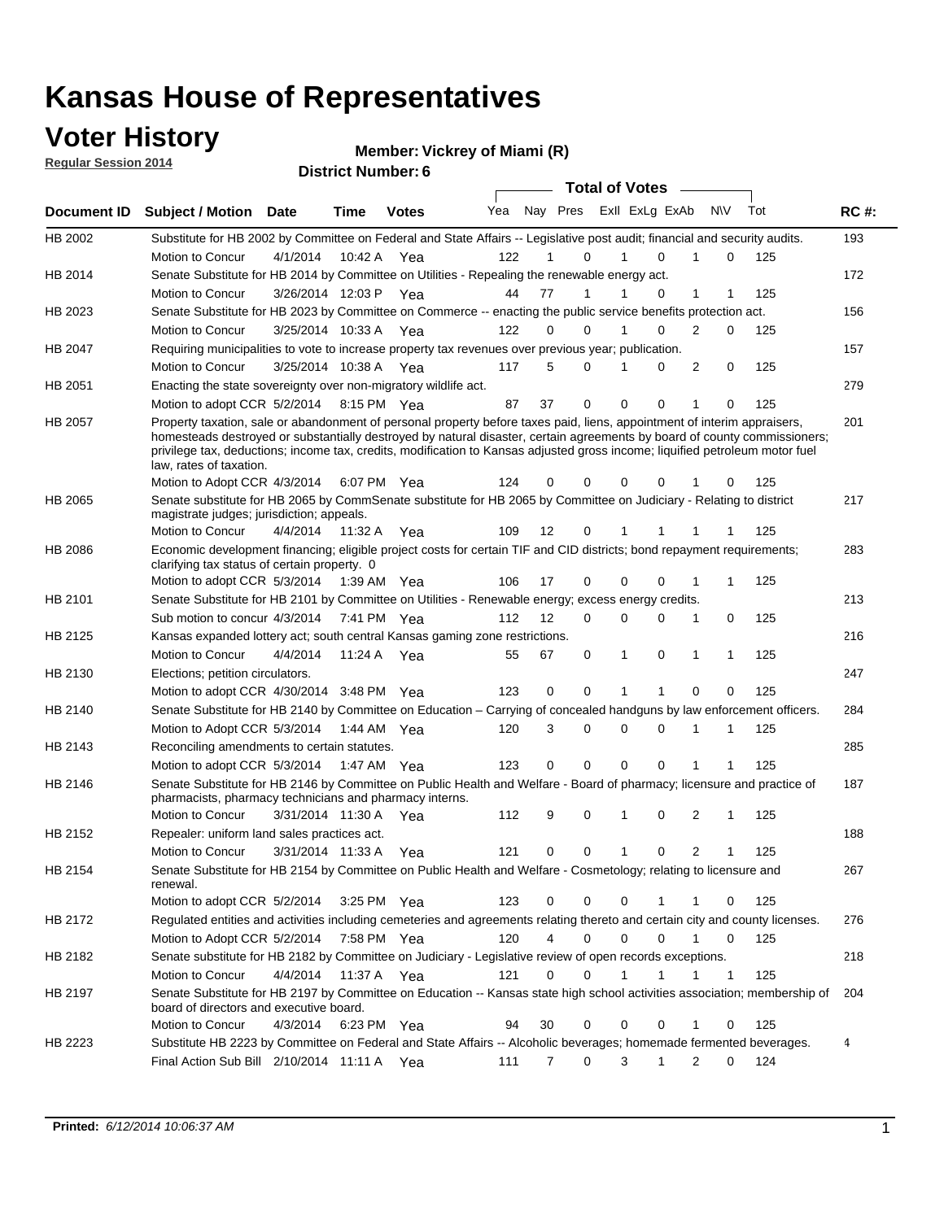#### **Voter History**

**Regular Session 2014**

#### **Vickrey of Miami (R)**

|                |                                                                                                                                                                                                                                                                                                                      |                       |             | <b>DISTRICT MAILINGL. 0</b> |     |    |                     | <b>Total of Votes</b> |              |                |              |             |     |             |
|----------------|----------------------------------------------------------------------------------------------------------------------------------------------------------------------------------------------------------------------------------------------------------------------------------------------------------------------|-----------------------|-------------|-----------------------------|-----|----|---------------------|-----------------------|--------------|----------------|--------------|-------------|-----|-------------|
| Document ID    | <b>Subject / Motion</b>                                                                                                                                                                                                                                                                                              | <b>Date</b>           | Time        | <b>Votes</b>                | Yea |    | Nay Pres            |                       |              | Exll ExLg ExAb | N\V          |             | Tot | <b>RC#:</b> |
| HB 2002        | Substitute for HB 2002 by Committee on Federal and State Affairs -- Legislative post audit; financial and security audits.                                                                                                                                                                                           |                       |             |                             |     |    |                     |                       |              |                |              |             |     | 193         |
|                | Motion to Concur                                                                                                                                                                                                                                                                                                     | 4/1/2014              | 10:42 A     | Yea                         | 122 |    | 0                   |                       |              | $\Omega$       |              | 0           | 125 |             |
| HB 2014        | Senate Substitute for HB 2014 by Committee on Utilities - Repealing the renewable energy act.                                                                                                                                                                                                                        |                       |             |                             |     |    |                     |                       |              |                |              |             |     | 172         |
|                | Motion to Concur                                                                                                                                                                                                                                                                                                     | 3/26/2014 12:03 P Yea |             |                             | 44  | 77 |                     |                       |              | $\Omega$       | 1            |             | 125 |             |
| HB 2023        | Senate Substitute for HB 2023 by Committee on Commerce -- enacting the public service benefits protection act.                                                                                                                                                                                                       |                       |             |                             |     |    |                     |                       |              |                |              |             |     | 156         |
|                | Motion to Concur                                                                                                                                                                                                                                                                                                     | 3/25/2014 10:33 A     |             | Yea                         | 122 | 0  | 0                   |                       |              | $\Omega$       | 2            | 0           | 125 |             |
| HB 2047        | Requiring municipalities to vote to increase property tax revenues over previous year; publication.                                                                                                                                                                                                                  |                       |             |                             |     |    |                     |                       |              |                |              |             |     | 157         |
|                | Motion to Concur                                                                                                                                                                                                                                                                                                     | 3/25/2014 10:38 A     |             | Yea                         | 117 | 5  | 0                   |                       |              | 0              | 2            | 0           | 125 |             |
| HB 2051        | Enacting the state sovereignty over non-migratory wildlife act.                                                                                                                                                                                                                                                      |                       |             |                             |     |    |                     |                       |              |                |              |             |     | 279         |
|                | Motion to adopt CCR 5/2/2014                                                                                                                                                                                                                                                                                         |                       |             | 8:15 PM Yea                 | 87  | 37 | 0                   |                       | $\Omega$     | $\Omega$       | 1            | 0           | 125 |             |
| HB 2057        | Property taxation, sale or abandonment of personal property before taxes paid, liens, appointment of interim appraisers,                                                                                                                                                                                             |                       |             |                             |     |    |                     |                       |              |                |              |             |     | 201         |
|                | homesteads destroyed or substantially destroyed by natural disaster, certain agreements by board of county commissioners;<br>privilege tax, deductions; income tax, credits, modification to Kansas adjusted gross income; liquified petroleum motor fuel<br>law, rates of taxation.<br>Motion to Adopt CCR 4/3/2014 |                       |             | 6:07 PM Yea                 | 124 | 0  | 0                   |                       | 0            | 0              |              | 0           | 125 |             |
| <b>HB 2065</b> | Senate substitute for HB 2065 by CommSenate substitute for HB 2065 by Committee on Judiciary - Relating to district                                                                                                                                                                                                  |                       |             |                             |     |    |                     |                       |              |                |              |             |     | 217         |
|                | magistrate judges; jurisdiction; appeals.                                                                                                                                                                                                                                                                            |                       |             |                             |     |    |                     |                       |              |                |              |             |     |             |
|                | Motion to Concur                                                                                                                                                                                                                                                                                                     | 4/4/2014              | 11:32 A     | Yea                         | 109 | 12 | 0                   |                       |              |                |              |             | 125 |             |
| HB 2086        | Economic development financing; eligible project costs for certain TIF and CID districts; bond repayment requirements;<br>clarifying tax status of certain property. 0                                                                                                                                               |                       |             |                             |     |    |                     |                       |              |                |              |             |     | 283         |
|                | Motion to adopt CCR 5/3/2014 1:39 AM Yea                                                                                                                                                                                                                                                                             |                       |             |                             | 106 | 17 | 0                   |                       | 0            | $\Omega$       |              | 1           | 125 |             |
| HB 2101        | Senate Substitute for HB 2101 by Committee on Utilities - Renewable energy; excess energy credits.                                                                                                                                                                                                                   |                       |             |                             |     |    |                     |                       |              |                |              |             |     | 213         |
|                | Sub motion to concur 4/3/2014                                                                                                                                                                                                                                                                                        |                       | 7:41 PM Yea |                             | 112 | 12 | 0                   |                       | 0            | $\Omega$       | 1            | 0           | 125 |             |
| HB 2125        | Kansas expanded lottery act; south central Kansas gaming zone restrictions.                                                                                                                                                                                                                                          |                       |             |                             |     |    |                     |                       |              |                |              |             |     | 216         |
|                | Motion to Concur                                                                                                                                                                                                                                                                                                     | 4/4/2014              | 11:24 A     | Yea                         | 55  | 67 | 0                   |                       | $\mathbf{1}$ | 0              | 1            | 1           | 125 |             |
| HB 2130        | Elections; petition circulators.                                                                                                                                                                                                                                                                                     |                       |             |                             |     |    |                     |                       |              |                |              |             |     | 247         |
|                | Motion to adopt CCR 4/30/2014 3:48 PM Yea                                                                                                                                                                                                                                                                            |                       |             |                             | 123 | 0  | 0                   |                       | 1            |                | 0            | 0           | 125 |             |
| HB 2140        | Senate Substitute for HB 2140 by Committee on Education – Carrying of concealed handguns by law enforcement officers.                                                                                                                                                                                                |                       |             |                             |     |    |                     |                       |              |                |              |             |     | 284         |
|                | Motion to Adopt CCR 5/3/2014                                                                                                                                                                                                                                                                                         |                       | 1:44 AM Yea |                             | 120 |    | 3<br>0              |                       | 0            | 0              | 1            | 1           | 125 |             |
| HB 2143        | Reconciling amendments to certain statutes.                                                                                                                                                                                                                                                                          |                       |             |                             |     |    |                     |                       |              |                |              |             |     | 285         |
|                | Motion to adopt CCR 5/3/2014                                                                                                                                                                                                                                                                                         |                       | 1:47 AM Yea |                             | 123 | 0  | 0                   |                       | 0            | $\mathbf 0$    | 1            | 1           | 125 |             |
| HB 2146        | Senate Substitute for HB 2146 by Committee on Public Health and Welfare - Board of pharmacy; licensure and practice of<br>pharmacists, pharmacy technicians and pharmacy interns.                                                                                                                                    |                       |             |                             |     |    |                     |                       |              |                |              |             |     | 187         |
|                | Motion to Concur                                                                                                                                                                                                                                                                                                     | 3/31/2014 11:30 A     |             | Yea                         | 112 |    | 9<br>0              |                       | 1            | 0              | 2            | 1           | 125 |             |
| HB 2152        | Repealer: uniform land sales practices act.                                                                                                                                                                                                                                                                          |                       |             |                             |     |    |                     |                       |              |                |              |             |     | 188         |
|                | Motion to Concur                                                                                                                                                                                                                                                                                                     | 3/31/2014 11:33 A     |             | Yea                         | 121 |    | 0<br>0              |                       | $\mathbf{1}$ | 0              | 2            | 1           | 125 |             |
| HB 2154        | Senate Substitute for HB 2154 by Committee on Public Health and Welfare - Cosmetology; relating to licensure and<br>renewal.                                                                                                                                                                                         |                       |             |                             |     |    |                     |                       |              |                |              |             |     | 267         |
|                | Motion to adopt CCR 5/2/2014                                                                                                                                                                                                                                                                                         |                       | 3:25 PM Yea |                             | 123 |    | 0<br>0              |                       | $\Omega$     |                |              | 0           | 125 |             |
| HB 2172        | Regulated entities and activities including cemeteries and agreements relating thereto and certain city and county licenses.                                                                                                                                                                                         |                       |             |                             |     |    |                     |                       |              |                |              |             |     | 276         |
|                | Motion to Adopt CCR 5/2/2014 7:58 PM Yea                                                                                                                                                                                                                                                                             |                       |             |                             | 120 |    | $\overline{4}$<br>0 |                       | $\mathbf 0$  | $\Omega$       | $\mathbf{1}$ | $\mathbf 0$ | 125 |             |
| HB 2182        | Senate substitute for HB 2182 by Committee on Judiciary - Legislative review of open records exceptions.                                                                                                                                                                                                             |                       |             |                             |     |    |                     |                       |              |                |              |             |     | 218         |
|                | Motion to Concur                                                                                                                                                                                                                                                                                                     | 4/4/2014              | 11:37 A Yea |                             | 121 | 0  | 0                   |                       | 1            | $\mathbf{1}$   | $\mathbf 1$  | $\mathbf 1$ | 125 |             |
|                | Senate Substitute for HB 2197 by Committee on Education -- Kansas state high school activities association; membership of                                                                                                                                                                                            |                       |             |                             |     |    |                     |                       |              |                |              |             |     | 204         |
| HB 2197        | board of directors and executive board.                                                                                                                                                                                                                                                                              |                       |             |                             |     |    |                     |                       |              |                |              |             |     |             |
|                | Motion to Concur                                                                                                                                                                                                                                                                                                     | 4/3/2014              |             | 6:23 PM Yea                 | 94  | 30 | 0                   |                       | 0            | 0              | 1            | 0           | 125 |             |
| HB 2223        | Substitute HB 2223 by Committee on Federal and State Affairs -- Alcoholic beverages; homemade fermented beverages.<br>Final Action Sub Bill 2/10/2014 11:11 A Yea                                                                                                                                                    |                       |             |                             | 111 |    | 0<br>7              |                       | 3            | 1              | 2            | 0           | 124 | 4           |
|                |                                                                                                                                                                                                                                                                                                                      |                       |             |                             |     |    |                     |                       |              |                |              |             |     |             |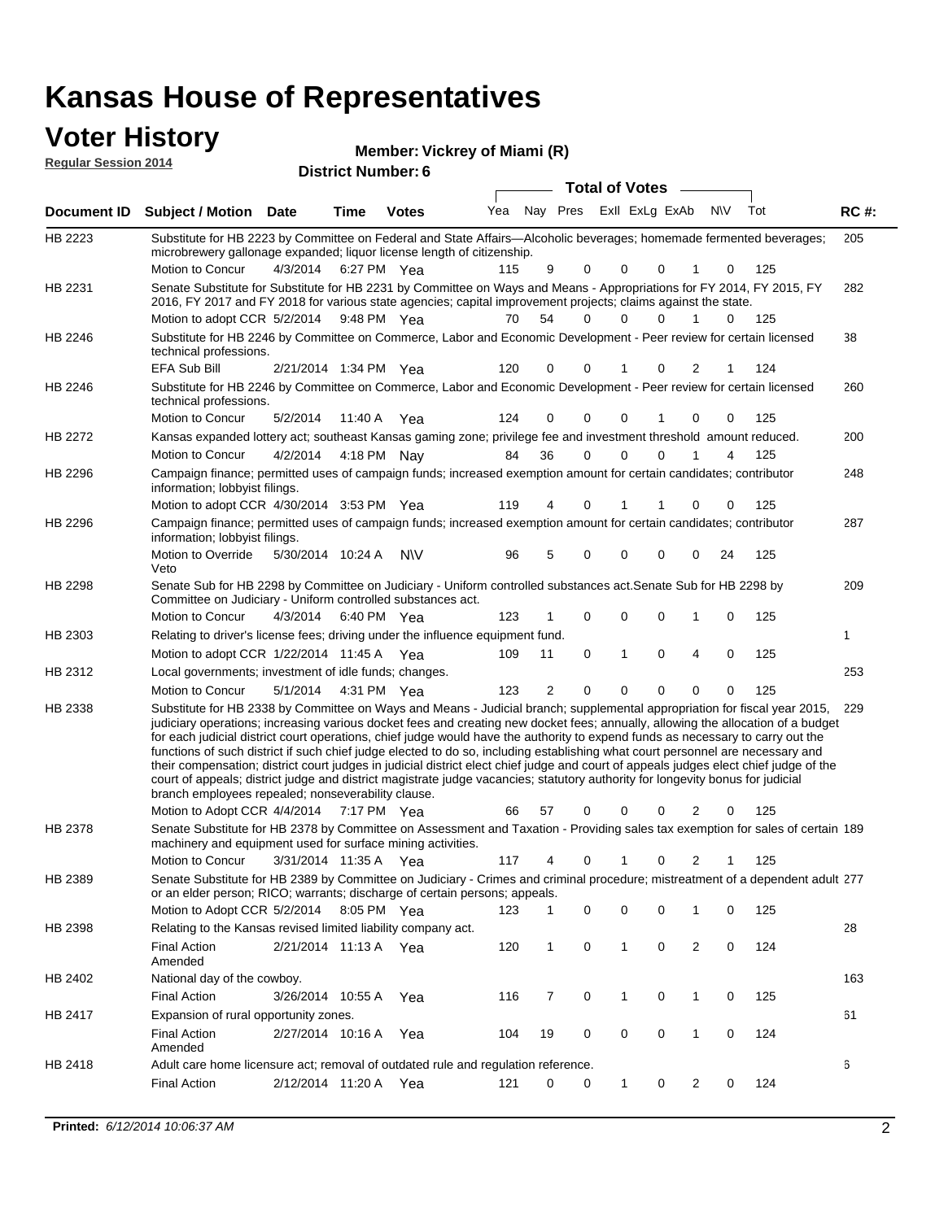#### **Voter History**

|                             | Member: Vickrey of Miami (R) |
|-----------------------------|------------------------------|
| <b>Regular Session 2014</b> | <b>District Number: 6</b>    |
|                             |                              |

|                    |                                                                                                                                                                                                                                                                                                                                                                                                                                                                                                                                                                                                                                                                                                                                                                                                                                                                                                                 |                       |             |              |     |              | Total of Votes -        |   |          |                |             |     |             |
|--------------------|-----------------------------------------------------------------------------------------------------------------------------------------------------------------------------------------------------------------------------------------------------------------------------------------------------------------------------------------------------------------------------------------------------------------------------------------------------------------------------------------------------------------------------------------------------------------------------------------------------------------------------------------------------------------------------------------------------------------------------------------------------------------------------------------------------------------------------------------------------------------------------------------------------------------|-----------------------|-------------|--------------|-----|--------------|-------------------------|---|----------|----------------|-------------|-----|-------------|
| <b>Document ID</b> | <b>Subject / Motion Date</b>                                                                                                                                                                                                                                                                                                                                                                                                                                                                                                                                                                                                                                                                                                                                                                                                                                                                                    |                       | Time        | <b>Votes</b> | Yea |              | Nay Pres ExII ExLg ExAb |   |          |                | N\V         | Tot | <b>RC#:</b> |
| HB 2223            | Substitute for HB 2223 by Committee on Federal and State Affairs—Alcoholic beverages; homemade fermented beverages;<br>microbrewery gallonage expanded; liquor license length of citizenship.                                                                                                                                                                                                                                                                                                                                                                                                                                                                                                                                                                                                                                                                                                                   |                       |             |              |     |              |                         |   |          |                |             |     | 205         |
|                    | Motion to Concur                                                                                                                                                                                                                                                                                                                                                                                                                                                                                                                                                                                                                                                                                                                                                                                                                                                                                                | 4/3/2014              | 6:27 PM Yea |              | 115 | 9            | 0                       | 0 | 0        |                | 0           | 125 |             |
| HB 2231            | Senate Substitute for Substitute for HB 2231 by Committee on Ways and Means - Appropriations for FY 2014, FY 2015, FY<br>2016, FY 2017 and FY 2018 for various state agencies; capital improvement projects; claims against the state.                                                                                                                                                                                                                                                                                                                                                                                                                                                                                                                                                                                                                                                                          |                       |             |              |     |              |                         |   |          |                |             |     | 282         |
|                    | Motion to adopt CCR 5/2/2014 9:48 PM Yea                                                                                                                                                                                                                                                                                                                                                                                                                                                                                                                                                                                                                                                                                                                                                                                                                                                                        |                       |             |              | 70  | 54           | $\Omega$                | 0 | 0        | 1              | 0           | 125 |             |
| HB 2246            | Substitute for HB 2246 by Committee on Commerce, Labor and Economic Development - Peer review for certain licensed<br>technical professions.                                                                                                                                                                                                                                                                                                                                                                                                                                                                                                                                                                                                                                                                                                                                                                    |                       |             |              |     |              |                         |   |          |                |             |     | 38          |
|                    | EFA Sub Bill                                                                                                                                                                                                                                                                                                                                                                                                                                                                                                                                                                                                                                                                                                                                                                                                                                                                                                    | 2/21/2014 1:34 PM Yea |             |              | 120 | 0            | 0                       | 1 | 0        | 2              | 1           | 124 |             |
| HB 2246            | Substitute for HB 2246 by Committee on Commerce, Labor and Economic Development - Peer review for certain licensed<br>technical professions.                                                                                                                                                                                                                                                                                                                                                                                                                                                                                                                                                                                                                                                                                                                                                                    |                       |             |              |     |              |                         |   |          |                |             |     | 260         |
|                    | Motion to Concur                                                                                                                                                                                                                                                                                                                                                                                                                                                                                                                                                                                                                                                                                                                                                                                                                                                                                                | 5/2/2014              | 11:40 A     | Yea          | 124 | 0            | 0                       | 0 |          | $\mathbf 0$    | 0           | 125 |             |
| HB 2272            | Kansas expanded lottery act; southeast Kansas gaming zone; privilege fee and investment threshold amount reduced.                                                                                                                                                                                                                                                                                                                                                                                                                                                                                                                                                                                                                                                                                                                                                                                               |                       |             |              |     |              |                         |   |          |                |             |     | 200         |
|                    | Motion to Concur                                                                                                                                                                                                                                                                                                                                                                                                                                                                                                                                                                                                                                                                                                                                                                                                                                                                                                | 4/2/2014              | 4:18 PM Nay |              | 84  | 36           | 0                       | 0 | 0        |                | 4           | 125 |             |
| HB 2296            | Campaign finance; permitted uses of campaign funds; increased exemption amount for certain candidates; contributor<br>information; lobbyist filings.                                                                                                                                                                                                                                                                                                                                                                                                                                                                                                                                                                                                                                                                                                                                                            |                       |             |              |     |              |                         |   |          |                |             |     | 248         |
|                    | Motion to adopt CCR 4/30/2014 3:53 PM Yea                                                                                                                                                                                                                                                                                                                                                                                                                                                                                                                                                                                                                                                                                                                                                                                                                                                                       |                       |             |              | 119 | 4            | 0                       | 1 |          | 0              | 0           | 125 |             |
| HB 2296            | Campaign finance; permitted uses of campaign funds; increased exemption amount for certain candidates; contributor<br>information; lobbyist filings.                                                                                                                                                                                                                                                                                                                                                                                                                                                                                                                                                                                                                                                                                                                                                            |                       |             |              |     |              |                         |   |          |                |             |     | 287         |
|                    | Motion to Override<br>Veto                                                                                                                                                                                                                                                                                                                                                                                                                                                                                                                                                                                                                                                                                                                                                                                                                                                                                      | 5/30/2014 10:24 A     |             | N\V          | 96  | 5            | 0                       | 0 | $\Omega$ | 0              | 24          | 125 |             |
| HB 2298            | Senate Sub for HB 2298 by Committee on Judiciary - Uniform controlled substances act. Senate Sub for HB 2298 by<br>Committee on Judiciary - Uniform controlled substances act.                                                                                                                                                                                                                                                                                                                                                                                                                                                                                                                                                                                                                                                                                                                                  |                       |             |              |     |              |                         |   |          |                |             |     | 209         |
|                    | Motion to Concur                                                                                                                                                                                                                                                                                                                                                                                                                                                                                                                                                                                                                                                                                                                                                                                                                                                                                                | 4/3/2014              | 6:40 PM Yea |              | 123 | 1            | 0                       | 0 | 0        | 1              | 0           | 125 |             |
| HB 2303            | Relating to driver's license fees; driving under the influence equipment fund.                                                                                                                                                                                                                                                                                                                                                                                                                                                                                                                                                                                                                                                                                                                                                                                                                                  |                       |             |              |     |              |                         |   |          |                |             |     | 1           |
|                    | Motion to adopt CCR 1/22/2014 11:45 A Yea                                                                                                                                                                                                                                                                                                                                                                                                                                                                                                                                                                                                                                                                                                                                                                                                                                                                       |                       |             |              | 109 | 11           | 0                       | 1 | 0        | 4              | $\mathbf 0$ | 125 |             |
| HB 2312            | Local governments; investment of idle funds; changes.                                                                                                                                                                                                                                                                                                                                                                                                                                                                                                                                                                                                                                                                                                                                                                                                                                                           |                       |             |              |     |              |                         |   |          |                |             |     | 253         |
|                    | Motion to Concur                                                                                                                                                                                                                                                                                                                                                                                                                                                                                                                                                                                                                                                                                                                                                                                                                                                                                                | 5/1/2014              | 4:31 PM Yea |              | 123 | 2            | $\mathbf 0$             | 0 | 0        | 0              | 0           | 125 |             |
| HB 2338            | Substitute for HB 2338 by Committee on Ways and Means - Judicial branch; supplemental appropriation for fiscal year 2015,<br>judiciary operations; increasing various docket fees and creating new docket fees; annually, allowing the allocation of a budget<br>for each judicial district court operations, chief judge would have the authority to expend funds as necessary to carry out the<br>functions of such district if such chief judge elected to do so, including establishing what court personnel are necessary and<br>their compensation; district court judges in judicial district elect chief judge and court of appeals judges elect chief judge of the<br>court of appeals; district judge and district magistrate judge vacancies; statutory authority for longevity bonus for judicial<br>branch employees repealed; nonseverability clause.<br>Motion to Adopt CCR 4/4/2014 7:17 PM Yea |                       |             |              | 66  | 57           | 0                       | 0 | 0        | 2              | 0           | 125 | 229         |
| HB 2378            | Senate Substitute for HB 2378 by Committee on Assessment and Taxation - Providing sales tax exemption for sales of certain 189                                                                                                                                                                                                                                                                                                                                                                                                                                                                                                                                                                                                                                                                                                                                                                                  |                       |             |              |     |              |                         |   |          |                |             |     |             |
|                    | machinery and equipment used for surface mining activities.                                                                                                                                                                                                                                                                                                                                                                                                                                                                                                                                                                                                                                                                                                                                                                                                                                                     |                       |             |              |     |              |                         |   |          |                |             |     |             |
|                    | Motion to Concur                                                                                                                                                                                                                                                                                                                                                                                                                                                                                                                                                                                                                                                                                                                                                                                                                                                                                                | 3/31/2014 11:35 A Yea |             |              | 117 | 4            | 0                       | 1 | 0        | $\overline{2}$ | 1           | 125 |             |
| HB 2389            | Senate Substitute for HB 2389 by Committee on Judiciary - Crimes and criminal procedure; mistreatment of a dependent adult 277<br>or an elder person; RICO; warrants; discharge of certain persons; appeals.                                                                                                                                                                                                                                                                                                                                                                                                                                                                                                                                                                                                                                                                                                    |                       |             |              |     |              |                         |   |          |                |             |     |             |
|                    | Motion to Adopt CCR 5/2/2014                                                                                                                                                                                                                                                                                                                                                                                                                                                                                                                                                                                                                                                                                                                                                                                                                                                                                    |                       | 8:05 PM Yea |              | 123 | 1            | 0                       | 0 | 0        | 1              | 0           | 125 |             |
| HB 2398            | Relating to the Kansas revised limited liability company act.                                                                                                                                                                                                                                                                                                                                                                                                                                                                                                                                                                                                                                                                                                                                                                                                                                                   |                       |             |              |     |              |                         |   |          |                |             |     | 28          |
|                    | <b>Final Action</b><br>Amended                                                                                                                                                                                                                                                                                                                                                                                                                                                                                                                                                                                                                                                                                                                                                                                                                                                                                  | 2/21/2014 11:13 A Yea |             |              | 120 | $\mathbf{1}$ | $\mathsf 0$             | 1 | 0        | $\overline{2}$ | 0           | 124 |             |
| HB 2402            | National day of the cowboy.                                                                                                                                                                                                                                                                                                                                                                                                                                                                                                                                                                                                                                                                                                                                                                                                                                                                                     |                       |             |              |     |              |                         |   |          |                |             |     | 163         |
|                    | <b>Final Action</b>                                                                                                                                                                                                                                                                                                                                                                                                                                                                                                                                                                                                                                                                                                                                                                                                                                                                                             | 3/26/2014 10:55 A     |             | Yea          | 116 | 7            | 0                       | 1 | 0        | 1              | 0           | 125 |             |
| HB 2417            | Expansion of rural opportunity zones.                                                                                                                                                                                                                                                                                                                                                                                                                                                                                                                                                                                                                                                                                                                                                                                                                                                                           |                       |             |              |     |              |                         |   |          |                |             |     | 61          |
|                    | <b>Final Action</b><br>Amended                                                                                                                                                                                                                                                                                                                                                                                                                                                                                                                                                                                                                                                                                                                                                                                                                                                                                  | 2/27/2014 10:16 A     |             | Yea          | 104 | 19           | 0                       | 0 | 0        | 1              | 0           | 124 |             |
| HB 2418            | Adult care home licensure act; removal of outdated rule and regulation reference.                                                                                                                                                                                                                                                                                                                                                                                                                                                                                                                                                                                                                                                                                                                                                                                                                               |                       |             |              |     |              |                         |   |          |                |             |     | 6           |
|                    | <b>Final Action</b>                                                                                                                                                                                                                                                                                                                                                                                                                                                                                                                                                                                                                                                                                                                                                                                                                                                                                             | 2/12/2014 11:20 A Yea |             |              | 121 | 0            | 0                       | 1 | 0        | 2              | 0           | 124 |             |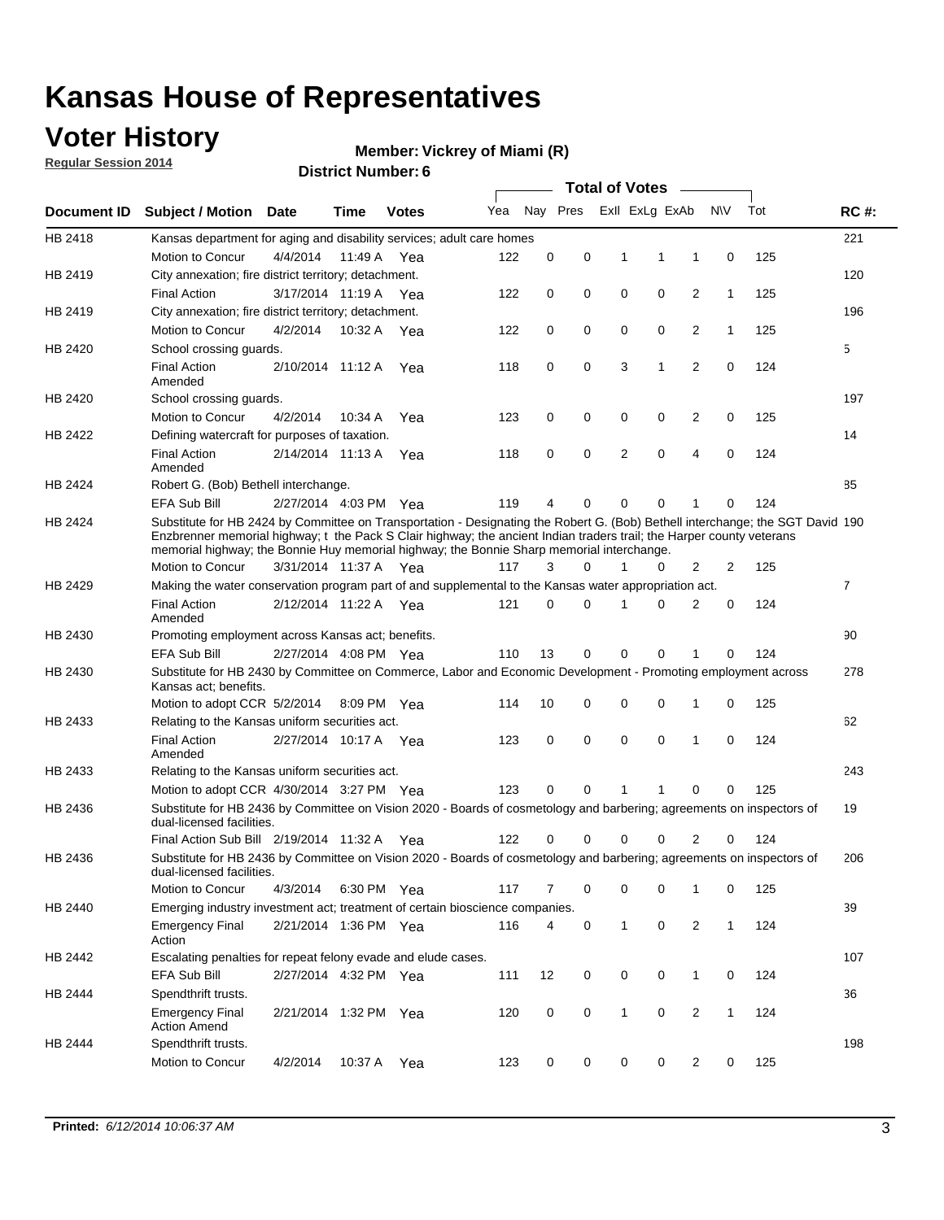### **Voter History**

**Regular Session 2014**

#### **Vickrey of Miami (R)**

|             | <b>DISTRICT MAILINGLE</b><br><b>Total of Votes</b><br>$\sim$                                                                                                                                                                                                                                                                                         |                       |             |              |     |          |          |              |                |                         |              |     |                |
|-------------|------------------------------------------------------------------------------------------------------------------------------------------------------------------------------------------------------------------------------------------------------------------------------------------------------------------------------------------------------|-----------------------|-------------|--------------|-----|----------|----------|--------------|----------------|-------------------------|--------------|-----|----------------|
| Document ID | <b>Subject / Motion Date</b>                                                                                                                                                                                                                                                                                                                         |                       | Time        | <b>Votes</b> | Yea |          | Nay Pres |              | Exll ExLg ExAb |                         | <b>NV</b>    | Tot | <b>RC#:</b>    |
| HB 2418     | Kansas department for aging and disability services; adult care homes                                                                                                                                                                                                                                                                                |                       |             |              |     |          |          |              |                |                         |              |     | 221            |
|             | Motion to Concur                                                                                                                                                                                                                                                                                                                                     | 4/4/2014              | 11:49 A     | Yea          | 122 | 0        | 0        | 1            | 1              | 1                       | 0            | 125 |                |
| HB 2419     | City annexation; fire district territory; detachment.                                                                                                                                                                                                                                                                                                |                       |             |              |     |          |          |              |                |                         |              |     | 120            |
|             | <b>Final Action</b>                                                                                                                                                                                                                                                                                                                                  | 3/17/2014 11:19 A Yea |             |              | 122 | 0        | 0        | 0            | 0              | 2                       | $\mathbf{1}$ | 125 |                |
| HB 2419     | City annexation; fire district territory; detachment.                                                                                                                                                                                                                                                                                                |                       |             |              |     |          |          |              |                |                         |              |     | 196            |
|             | Motion to Concur                                                                                                                                                                                                                                                                                                                                     | 4/2/2014              | 10:32 A Yea |              | 122 | 0        | 0        | 0            | 0              | 2                       | $\mathbf{1}$ | 125 |                |
| HB 2420     | School crossing guards.                                                                                                                                                                                                                                                                                                                              |                       |             |              |     |          |          |              |                |                         |              |     | 5              |
|             | <b>Final Action</b><br>Amended                                                                                                                                                                                                                                                                                                                       | 2/10/2014 11:12 A     |             | Yea          | 118 | 0        | 0        | 3            | 1              | 2                       | $\mathbf 0$  | 124 |                |
| HB 2420     | School crossing guards.                                                                                                                                                                                                                                                                                                                              |                       |             |              |     |          |          |              |                |                         |              |     | 197            |
|             | Motion to Concur                                                                                                                                                                                                                                                                                                                                     | 4/2/2014              | 10:34 A     | Yea          | 123 | 0        | 0        | 0            | 0              | $\overline{\mathbf{c}}$ | 0            | 125 |                |
| HB 2422     | Defining watercraft for purposes of taxation.                                                                                                                                                                                                                                                                                                        |                       |             |              |     |          |          |              |                |                         |              |     | 14             |
|             | <b>Final Action</b><br>Amended                                                                                                                                                                                                                                                                                                                       | 2/14/2014 11:13 A     |             | Yea          | 118 | 0        | 0        | 2            | 0              | 4                       | $\mathbf 0$  | 124 |                |
| HB 2424     | Robert G. (Bob) Bethell interchange.                                                                                                                                                                                                                                                                                                                 |                       |             |              |     |          |          |              |                |                         |              |     | 85             |
|             | EFA Sub Bill                                                                                                                                                                                                                                                                                                                                         | 2/27/2014 4:03 PM Yea |             |              | 119 | 4        | 0        | $\Omega$     | 0              | 1                       | 0            | 124 |                |
| HB 2424     | Substitute for HB 2424 by Committee on Transportation - Designating the Robert G. (Bob) Bethell interchange; the SGT David 190<br>Enzbrenner memorial highway; t the Pack S Clair highway; the ancient Indian traders trail; the Harper county veterans<br>memorial highway; the Bonnie Huy memorial highway; the Bonnie Sharp memorial interchange. |                       |             |              |     |          |          |              |                |                         |              |     |                |
|             | Motion to Concur                                                                                                                                                                                                                                                                                                                                     | 3/31/2014 11:37 A Yea |             |              | 117 | 3        | $\Omega$ | 1            | 0              | 2                       | 2            | 125 |                |
| HB 2429     | Making the water conservation program part of and supplemental to the Kansas water appropriation act.                                                                                                                                                                                                                                                |                       |             |              |     |          |          |              |                |                         |              |     | $\overline{7}$ |
|             | <b>Final Action</b><br>Amended                                                                                                                                                                                                                                                                                                                       | 2/12/2014 11:22 A Yea |             |              | 121 | $\Omega$ | $\Omega$ | 1            | $\Omega$       | $\overline{2}$          | 0            | 124 |                |
| HB 2430     | Promoting employment across Kansas act; benefits.                                                                                                                                                                                                                                                                                                    |                       |             |              |     |          |          |              |                |                         |              |     | 90             |
|             | <b>EFA Sub Bill</b>                                                                                                                                                                                                                                                                                                                                  | 2/27/2014 4:08 PM Yea |             |              | 110 | 13       | 0        | $\mathbf 0$  | 0              |                         | 0            | 124 |                |
| HB 2430     | Substitute for HB 2430 by Committee on Commerce, Labor and Economic Development - Promoting employment across<br>Kansas act; benefits.                                                                                                                                                                                                               |                       |             |              |     |          |          |              |                |                         |              |     | 278            |
|             | Motion to adopt CCR 5/2/2014                                                                                                                                                                                                                                                                                                                         |                       | 8:09 PM Yea |              | 114 | 10       | 0        | 0            | 0              | 1                       | 0            | 125 |                |
| HB 2433     | Relating to the Kansas uniform securities act.                                                                                                                                                                                                                                                                                                       |                       |             |              |     |          |          |              |                |                         |              |     | 62             |
|             | <b>Final Action</b><br>Amended                                                                                                                                                                                                                                                                                                                       | 2/27/2014 10:17 A Yea |             |              | 123 | 0        | 0        | $\mathbf 0$  | $\mathbf 0$    | 1                       | 0            | 124 |                |
| HB 2433     | Relating to the Kansas uniform securities act.                                                                                                                                                                                                                                                                                                       |                       |             |              |     |          |          |              |                |                         |              |     | 243            |
|             | Motion to adopt CCR 4/30/2014 3:27 PM Yea                                                                                                                                                                                                                                                                                                            |                       |             |              | 123 | $\Omega$ | $\Omega$ | 1            | 1              | $\Omega$                | 0            | 125 |                |
| HB 2436     | Substitute for HB 2436 by Committee on Vision 2020 - Boards of cosmetology and barbering; agreements on inspectors of<br>dual-licensed facilities.                                                                                                                                                                                                   |                       |             |              |     |          |          |              |                |                         |              |     | 19             |
|             | Final Action Sub Bill 2/19/2014 11:32 A                                                                                                                                                                                                                                                                                                              |                       |             | Yea          | 122 | 0        | 0        | O            |                | 2                       | 0            | 124 |                |
| HB 2436     | Substitute for HB 2436 by Committee on Vision 2020 - Boards of cosmetology and barbering; agreements on inspectors of<br>dual-licensed facilities.                                                                                                                                                                                                   |                       |             |              |     |          |          |              |                |                         |              |     | 206            |
|             | <b>Motion to Concur</b>                                                                                                                                                                                                                                                                                                                              | 4/3/2014              | 6:30 PM Yea |              | 117 | 7        | 0        | 0            | 0              | 1                       | 0            | 125 |                |
| HB 2440     | Emerging industry investment act; treatment of certain bioscience companies.                                                                                                                                                                                                                                                                         |                       |             |              |     |          |          |              |                |                         |              |     | 39             |
|             | <b>Emergency Final</b><br>Action                                                                                                                                                                                                                                                                                                                     | 2/21/2014 1:36 PM Yea |             |              | 116 | 4        | 0        | $\mathbf{1}$ | 0              | 2                       | $\mathbf{1}$ | 124 |                |
| HB 2442     | Escalating penalties for repeat felony evade and elude cases.                                                                                                                                                                                                                                                                                        |                       |             |              |     |          |          |              |                |                         |              |     | 107            |
|             | EFA Sub Bill                                                                                                                                                                                                                                                                                                                                         | 2/27/2014 4:32 PM Yea |             |              | 111 | 12       | 0        | 0            | 0              | $\mathbf{1}$            | 0            | 124 |                |
| HB 2444     | Spendthrift trusts.                                                                                                                                                                                                                                                                                                                                  |                       |             |              |     |          |          |              |                |                         |              |     | 36             |
|             | Emergency Final<br><b>Action Amend</b>                                                                                                                                                                                                                                                                                                               | 2/21/2014 1:32 PM Yea |             |              | 120 | 0        | 0        | $\mathbf{1}$ | 0              | $\overline{2}$          | $\mathbf{1}$ | 124 |                |
| HB 2444     | Spendthrift trusts.                                                                                                                                                                                                                                                                                                                                  |                       |             |              |     |          |          |              |                |                         |              |     | 198            |
|             | Motion to Concur                                                                                                                                                                                                                                                                                                                                     | 4/2/2014              | 10:37 A     | Yea          | 123 | 0        | 0        | 0            | 0              | $\overline{2}$          | 0            | 125 |                |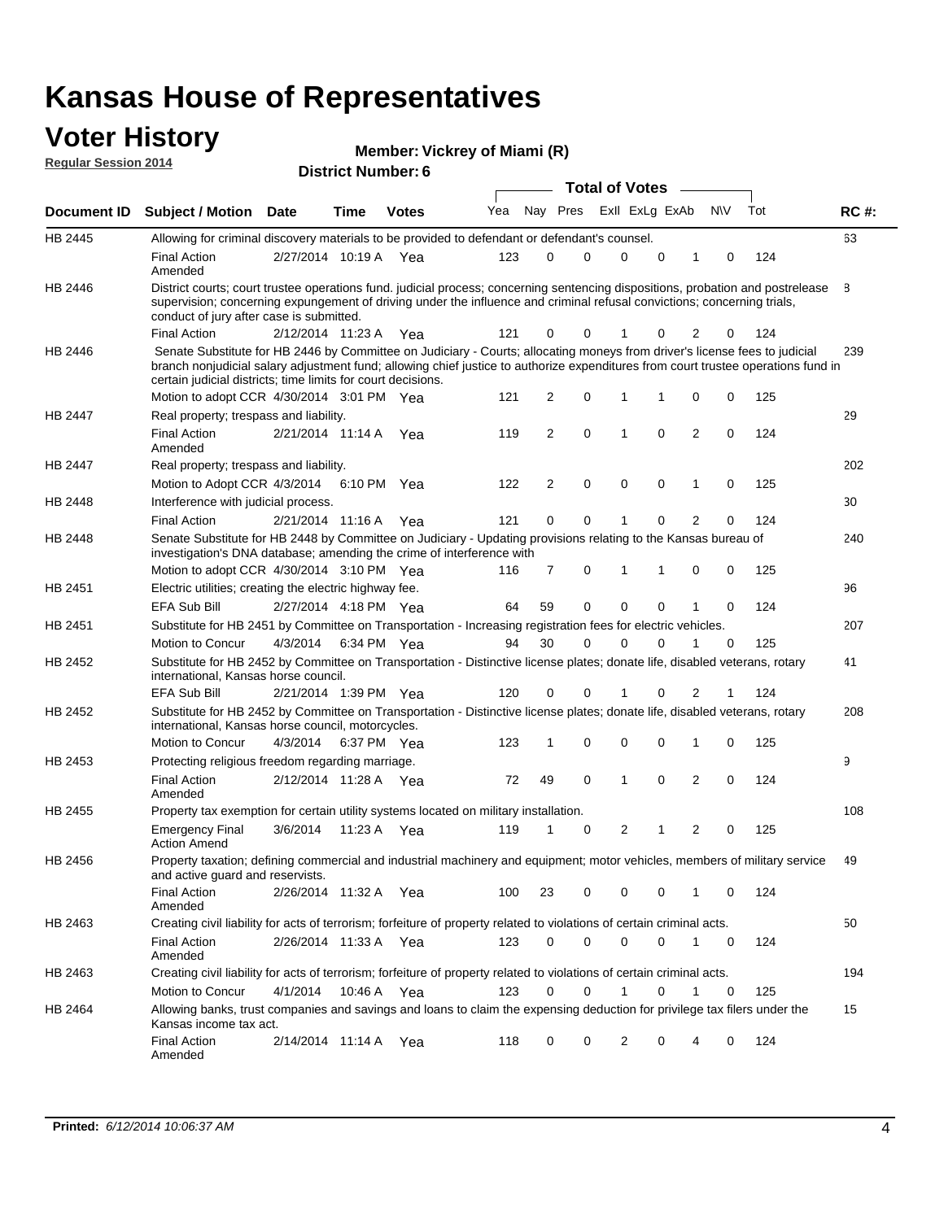# **Voter History Member: Regular Session 2014**

| דושב ווטוכסטט ושושטח |                                                                                                                                                                                                                                                                                                                                 |                       |         | <b>District Number: 6</b> |     |                |   |                       |             |                |     |     |             |
|----------------------|---------------------------------------------------------------------------------------------------------------------------------------------------------------------------------------------------------------------------------------------------------------------------------------------------------------------------------|-----------------------|---------|---------------------------|-----|----------------|---|-----------------------|-------------|----------------|-----|-----|-------------|
|                      |                                                                                                                                                                                                                                                                                                                                 |                       |         |                           |     |                |   | <b>Total of Votes</b> |             |                |     |     |             |
| Document ID          | Subject / Motion Date                                                                                                                                                                                                                                                                                                           |                       | Time    | <b>Votes</b>              | Yea | Nay Pres       |   | Exll ExLg ExAb        |             |                | N\V | Tot | <b>RC#:</b> |
| <b>HB 2445</b>       | Allowing for criminal discovery materials to be provided to defendant or defendant's counsel.                                                                                                                                                                                                                                   |                       |         |                           |     |                |   |                       |             |                |     |     | 63          |
|                      | <b>Final Action</b><br>Amended                                                                                                                                                                                                                                                                                                  | 2/27/2014 10:19 A Yea |         |                           | 123 | $\Omega$       | 0 | 0                     | 0           | 1              | 0   | 124 |             |
| HB 2446              | District courts; court trustee operations fund. judicial process; concerning sentencing dispositions, probation and postrelease<br>supervision; concerning expungement of driving under the influence and criminal refusal convictions; concerning trials,<br>conduct of jury after case is submitted.                          |                       |         |                           |     |                |   |                       |             |                |     |     | 8           |
|                      | <b>Final Action</b>                                                                                                                                                                                                                                                                                                             | 2/12/2014 11:23 A     |         | Yea                       | 121 | 0              | 0 |                       | 0           | 2              | 0   | 124 |             |
| HB 2446              | Senate Substitute for HB 2446 by Committee on Judiciary - Courts; allocating moneys from driver's license fees to judicial<br>branch nonjudicial salary adjustment fund; allowing chief justice to authorize expenditures from court trustee operations fund in<br>certain judicial districts; time limits for court decisions. |                       |         |                           |     |                |   |                       |             |                |     |     | 239         |
|                      | Motion to adopt CCR 4/30/2014 3:01 PM Yea                                                                                                                                                                                                                                                                                       |                       |         |                           | 121 | 2              | 0 | 1                     | 1           | 0              | 0   | 125 |             |
| <b>HB 2447</b>       | Real property; trespass and liability.                                                                                                                                                                                                                                                                                          |                       |         |                           |     |                |   |                       |             |                |     |     | 29          |
|                      | Final Action<br>Amended                                                                                                                                                                                                                                                                                                         | 2/21/2014 11:14 A     |         | Yea                       | 119 | 2              | 0 | $\mathbf{1}$          | 0           | $\overline{2}$ | 0   | 124 |             |
| HB 2447              | Real property; trespass and liability.                                                                                                                                                                                                                                                                                          |                       |         |                           |     |                |   |                       |             |                |     |     | 202         |
|                      | Motion to Adopt CCR 4/3/2014 6:10 PM Yea                                                                                                                                                                                                                                                                                        |                       |         |                           | 122 | 2              | 0 | 0                     | 0           | $\mathbf{1}$   | 0   | 125 |             |
| HB 2448              | Interference with judicial process.                                                                                                                                                                                                                                                                                             |                       |         |                           |     |                |   |                       |             |                |     |     | 30          |
|                      | <b>Final Action</b>                                                                                                                                                                                                                                                                                                             | 2/21/2014 11:16 A     |         | Yea                       | 121 | 0              | 0 | 1                     | $\mathbf 0$ | 2              | 0   | 124 |             |
| HB 2448              | Senate Substitute for HB 2448 by Committee on Judiciary - Updating provisions relating to the Kansas bureau of<br>investigation's DNA database; amending the crime of interference with                                                                                                                                         |                       |         |                           |     |                |   |                       |             |                |     |     | 240         |
|                      | Motion to adopt CCR 4/30/2014 3:10 PM Yea                                                                                                                                                                                                                                                                                       |                       |         |                           | 116 | $\overline{7}$ | 0 | 1                     | 1           | 0              | 0   | 125 |             |
| HB 2451              | Electric utilities; creating the electric highway fee.<br>EFA Sub Bill                                                                                                                                                                                                                                                          | 2/27/2014 4:18 PM Yea |         |                           | 64  | 59             | 0 | $\mathbf 0$           | $\mathbf 0$ | 1              | 0   | 124 | 96          |
| HB 2451              | Substitute for HB 2451 by Committee on Transportation - Increasing registration fees for electric vehicles.                                                                                                                                                                                                                     |                       |         |                           |     |                |   |                       |             |                |     |     | 207         |
|                      | Motion to Concur                                                                                                                                                                                                                                                                                                                | 4/3/2014 6:34 PM Yea  |         |                           | 94  | 30             | 0 | 0                     | $\Omega$    | 1              | 0   | 125 |             |
| HB 2452              | Substitute for HB 2452 by Committee on Transportation - Distinctive license plates; donate life, disabled veterans, rotary<br>international, Kansas horse council.                                                                                                                                                              |                       |         |                           |     |                |   |                       |             |                |     |     | 41          |
|                      | <b>EFA Sub Bill</b>                                                                                                                                                                                                                                                                                                             | 2/21/2014 1:39 PM Yea |         |                           | 120 | 0              | 0 | 1                     | 0           | $\overline{2}$ |     | 124 |             |
| HB 2452              | Substitute for HB 2452 by Committee on Transportation - Distinctive license plates; donate life, disabled veterans, rotary<br>international, Kansas horse council, motorcycles.                                                                                                                                                 |                       |         |                           |     |                |   |                       |             |                |     |     | 208         |
|                      | Motion to Concur                                                                                                                                                                                                                                                                                                                | 4/3/2014 6:37 PM Yea  |         |                           | 123 | 1              | 0 | 0                     | $\mathbf 0$ | 1              | 0   | 125 |             |
| HB 2453              | Protecting religious freedom regarding marriage.                                                                                                                                                                                                                                                                                |                       |         |                           |     |                |   |                       |             |                |     |     | 9           |
|                      | <b>Final Action</b><br>Amended                                                                                                                                                                                                                                                                                                  | 2/12/2014 11:28 A Yea |         |                           | 72  | 49             | 0 | 1                     | $\mathbf 0$ | $\overline{2}$ | 0   | 124 |             |
| HB 2455              | Property tax exemption for certain utility systems located on military installation.                                                                                                                                                                                                                                            |                       |         |                           |     |                |   |                       |             |                |     |     | 108         |
|                      | <b>Emergency Final</b><br><b>Action Amend</b>                                                                                                                                                                                                                                                                                   | 3/6/2014              | 11:23 A | Yea                       | 119 |                | 0 | 2                     | 1           | 2              | 0   | 125 |             |
| HB 2456              | Property taxation; defining commercial and industrial machinery and equipment; motor vehicles, members of military service<br>and active guard and reservists.                                                                                                                                                                  |                       |         |                           |     |                |   |                       |             |                |     |     | 49          |
|                      | <b>Final Action</b><br>Amended                                                                                                                                                                                                                                                                                                  | 2/26/2014 11:32 A Yea |         |                           | 100 | 23             | 0 | 0                     | 0           | 1              | 0   | 124 |             |
| HB 2463              | Creating civil liability for acts of terrorism; forfeiture of property related to violations of certain criminal acts.                                                                                                                                                                                                          |                       |         |                           |     |                |   |                       |             |                |     |     | 50          |
|                      | Final Action<br>Amended                                                                                                                                                                                                                                                                                                         | 2/26/2014 11:33 A Yea |         |                           | 123 | 0              | 0 | $\mathbf 0$           | $\mathbf 0$ | 1              | 0   | 124 |             |
| HB 2463              | Creating civil liability for acts of terrorism; forfeiture of property related to violations of certain criminal acts.                                                                                                                                                                                                          |                       |         |                           |     |                |   |                       |             |                |     |     | 194         |
|                      | Motion to Concur                                                                                                                                                                                                                                                                                                                | 4/1/2014              |         | 10:46 A Yea               | 123 | 0              | 0 | 1                     | 0           | 1              | 0   | 125 |             |
| HB 2464              | Allowing banks, trust companies and savings and loans to claim the expensing deduction for privilege tax filers under the<br>Kansas income tax act.                                                                                                                                                                             |                       |         |                           |     |                |   |                       |             |                |     |     | 15          |
|                      | <b>Final Action</b><br>Amended                                                                                                                                                                                                                                                                                                  | 2/14/2014 11:14 A Yea |         |                           | 118 | 0              | 0 | 2                     | 0           | 4              | 0   | 124 |             |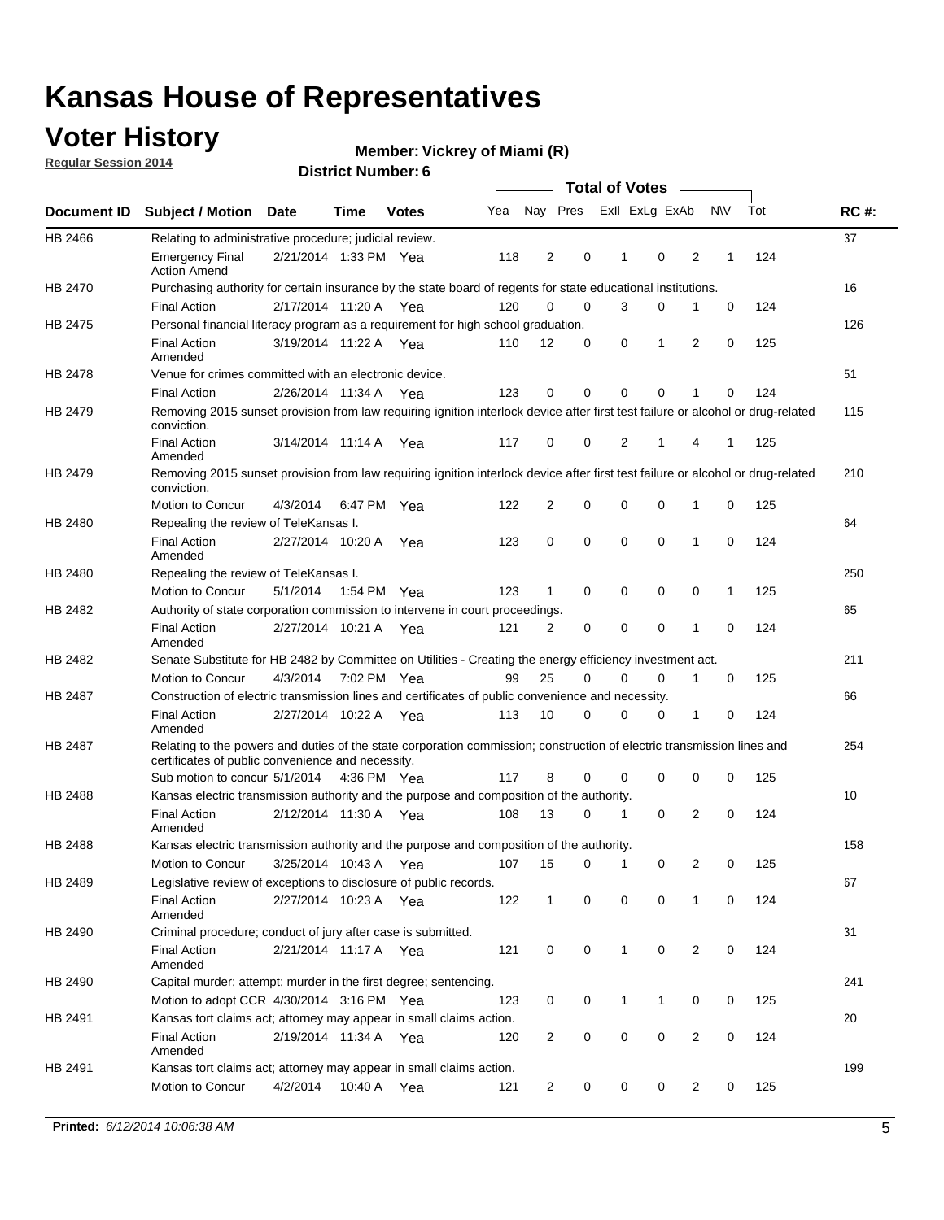### **Voter History**

**Regular Session 2014**

#### **Vickrey of Miami (R)**

|                |                                                                                                                                                                             |                       |         |              |     |                |          |                | <b>Total of Votes</b> |                |             |     |             |
|----------------|-----------------------------------------------------------------------------------------------------------------------------------------------------------------------------|-----------------------|---------|--------------|-----|----------------|----------|----------------|-----------------------|----------------|-------------|-----|-------------|
|                | Document ID Subject / Motion                                                                                                                                                | Date                  | Time    | <b>Votes</b> | Yea | Nay Pres       |          |                | Exll ExLg ExAb        |                | <b>NV</b>   | Tot | <b>RC#:</b> |
| HB 2466        | Relating to administrative procedure; judicial review.                                                                                                                      |                       |         |              |     |                |          |                |                       |                |             |     | 37          |
|                | <b>Emergency Final</b><br><b>Action Amend</b>                                                                                                                               | 2/21/2014 1:33 PM Yea |         |              | 118 | $\overline{2}$ | 0        | 1              | $\mathbf 0$           | 2              | 1           | 124 |             |
| <b>HB 2470</b> | Purchasing authority for certain insurance by the state board of regents for state educational institutions.                                                                |                       |         |              |     |                |          |                |                       |                |             |     | 16          |
|                | <b>Final Action</b>                                                                                                                                                         | 2/17/2014 11:20 A Yea |         |              | 120 | 0              | 0        | 3              | 0                     | 1              | $\mathbf 0$ | 124 |             |
| HB 2475        | Personal financial literacy program as a requirement for high school graduation.                                                                                            |                       |         |              |     |                |          |                |                       |                |             |     | 126         |
|                | <b>Final Action</b><br>Amended                                                                                                                                              | 3/19/2014 11:22 A Yea |         |              | 110 | 12             | 0        | 0              | 1                     | 2              | 0           | 125 |             |
| HB 2478        | Venue for crimes committed with an electronic device.                                                                                                                       |                       |         |              |     |                |          |                |                       |                |             |     | 51          |
|                | <b>Final Action</b>                                                                                                                                                         | 2/26/2014 11:34 A     |         | Yea          | 123 | 0              | 0        | $\Omega$       | $\mathbf 0$           | 1              | 0           | 124 |             |
| HB 2479        | Removing 2015 sunset provision from law requiring ignition interlock device after first test failure or alcohol or drug-related<br>conviction.                              |                       |         |              |     |                |          |                |                       |                |             |     | 115         |
|                | <b>Final Action</b><br>Amended                                                                                                                                              | 3/14/2014 11:14 A     |         | Yea          | 117 | 0              | 0        | $\overline{2}$ | 1                     | 4              | 1           | 125 |             |
| HB 2479        | Removing 2015 sunset provision from law requiring ignition interlock device after first test failure or alcohol or drug-related<br>conviction.                              |                       |         |              |     |                |          |                |                       |                |             |     | 210         |
|                | Motion to Concur                                                                                                                                                            | 4/3/2014              |         | 6:47 PM Yea  | 122 | $\overline{2}$ | 0        | $\mathbf 0$    | 0                     | 1              | 0           | 125 |             |
| HB 2480        | Repealing the review of TeleKansas I.                                                                                                                                       |                       |         |              |     |                |          |                |                       |                |             |     | 64          |
|                | <b>Final Action</b><br>Amended                                                                                                                                              | 2/27/2014 10:20 A     |         | Yea          | 123 | 0              | 0        | $\mathbf 0$    | $\mathbf 0$           | 1              | 0           | 124 |             |
| HB 2480        | Repealing the review of TeleKansas I.                                                                                                                                       |                       |         |              |     |                |          |                |                       |                |             |     | 250         |
|                | Motion to Concur                                                                                                                                                            | 5/1/2014              |         | 1:54 PM Yea  | 123 | 1              | 0        | 0              | 0                     | 0              | 1           | 125 |             |
| HB 2482        | Authority of state corporation commission to intervene in court proceedings.                                                                                                |                       |         |              |     |                |          |                |                       |                |             |     | 65          |
|                | <b>Final Action</b><br>Amended                                                                                                                                              | 2/27/2014 10:21 A     |         | Yea          | 121 | 2              | 0        | 0              | 0                     | 1              | 0           | 124 |             |
| HB 2482        | Senate Substitute for HB 2482 by Committee on Utilities - Creating the energy efficiency investment act.                                                                    |                       |         |              |     |                |          |                |                       |                |             |     | 211         |
|                | Motion to Concur                                                                                                                                                            | 4/3/2014 7:02 PM Yea  |         |              | 99  | 25             | $\Omega$ | $\Omega$       | $\mathbf 0$           | 1              | 0           | 125 |             |
| HB 2487        | Construction of electric transmission lines and certificates of public convenience and necessity.                                                                           |                       |         |              |     |                |          |                |                       |                |             |     | 66          |
|                | <b>Final Action</b><br>Amended                                                                                                                                              | 2/27/2014 10:22 A     |         | Yea          | 113 | 10             | 0        | 0              | 0                     | 1              | 0           | 124 |             |
| HB 2487        | Relating to the powers and duties of the state corporation commission; construction of electric transmission lines and<br>certificates of public convenience and necessity. |                       |         |              |     |                |          |                |                       |                |             |     | 254         |
|                | Sub motion to concur 5/1/2014                                                                                                                                               |                       |         | 4:36 PM Yea  | 117 | 8              | 0        | 0              | 0                     | 0              | 0           | 125 |             |
| HB 2488        | Kansas electric transmission authority and the purpose and composition of the authority.                                                                                    |                       |         |              |     |                |          |                |                       |                |             |     | 10          |
|                | <b>Final Action</b><br>Amended                                                                                                                                              | 2/12/2014 11:30 A     |         | Yea          | 108 | 13             | 0        | 1              | 0                     | 2              | 0           | 124 |             |
| <b>HB 2488</b> | Kansas electric transmission authority and the purpose and composition of the authority.                                                                                    |                       |         |              |     |                |          |                |                       |                |             |     | 158         |
|                | Motion to Concur                                                                                                                                                            | 3/25/2014 10:43 A     |         | Yea          | 107 | 15             | 0        | $\mathbf 1$    | 0                     | 2              | 0           | 125 |             |
| HB 2489        | Legislative review of exceptions to disclosure of public records.                                                                                                           |                       |         |              |     |                |          |                |                       |                |             |     | 67          |
|                | <b>Final Action</b><br>Amended                                                                                                                                              | 2/27/2014 10:23 A Yea |         |              | 122 | $\mathbf{1}$   | 0        | 0              | 0                     | 1              | 0           | 124 |             |
| HB 2490        | Criminal procedure; conduct of jury after case is submitted.                                                                                                                |                       |         |              |     |                |          |                |                       |                |             |     | 31          |
|                | <b>Final Action</b><br>Amended                                                                                                                                              | 2/21/2014 11:17 A Yea |         |              | 121 | 0              | 0        | $\mathbf{1}$   | 0                     | 2              | $\mathbf 0$ | 124 |             |
| HB 2490        | Capital murder; attempt; murder in the first degree; sentencing.                                                                                                            |                       |         |              |     |                |          |                |                       |                |             |     | 241         |
|                | Motion to adopt CCR 4/30/2014 3:16 PM Yea                                                                                                                                   |                       |         |              | 123 | 0              | 0        | 1              | 1                     | 0              | 0           | 125 |             |
| HB 2491        | Kansas tort claims act; attorney may appear in small claims action.                                                                                                         |                       |         |              |     |                |          |                |                       |                |             |     | 20          |
|                | <b>Final Action</b><br>Amended                                                                                                                                              | 2/19/2014 11:34 A Yea |         |              | 120 | 2              | 0        | 0              | 0                     | $\overline{2}$ | 0           | 124 |             |
| HB 2491        | Kansas tort claims act; attorney may appear in small claims action.                                                                                                         |                       |         |              |     |                |          |                |                       |                |             |     | 199         |
|                | Motion to Concur                                                                                                                                                            | 4/2/2014              | 10:40 A | Yea          | 121 | 2              | 0        | 0              | 0                     | $\overline{2}$ | 0           | 125 |             |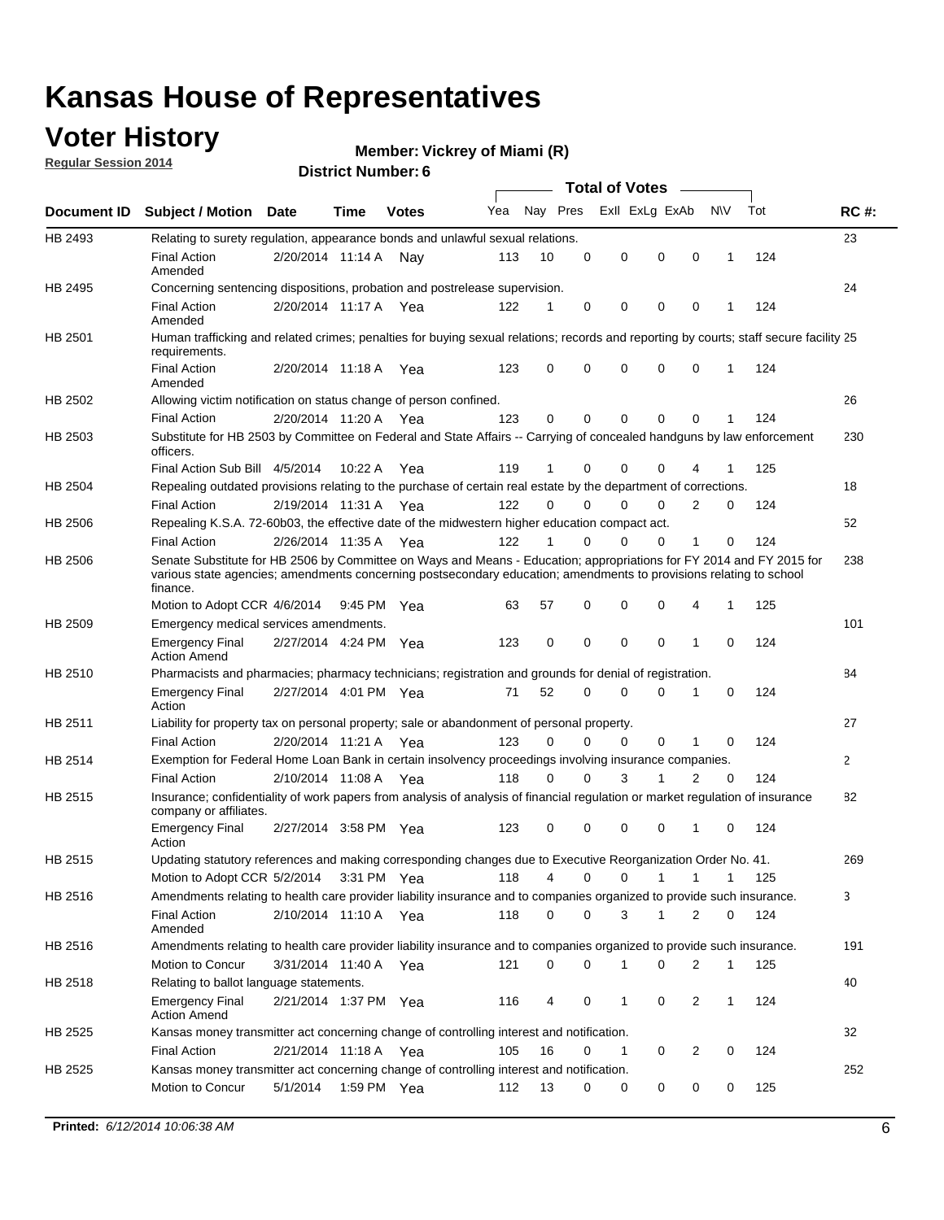### **Voter History**

**Regular Session 2014**

#### **Vickrey of Miami (R)**

|         |                                                                                                                                                                                                                                                        |                       |             |              |     |             |             | <b>Total of Votes</b> |             |              |              |     |             |
|---------|--------------------------------------------------------------------------------------------------------------------------------------------------------------------------------------------------------------------------------------------------------|-----------------------|-------------|--------------|-----|-------------|-------------|-----------------------|-------------|--------------|--------------|-----|-------------|
|         | Document ID Subject / Motion Date                                                                                                                                                                                                                      |                       | Time        | <b>Votes</b> | Yea | Nay Pres    |             | Exll ExLg ExAb        |             |              | <b>NV</b>    | Tot | <b>RC#:</b> |
| HB 2493 | Relating to surety regulation, appearance bonds and unlawful sexual relations.                                                                                                                                                                         |                       |             |              |     |             |             |                       |             |              |              |     | 23          |
|         | <b>Final Action</b><br>Amended                                                                                                                                                                                                                         | 2/20/2014 11:14 A     |             | Nav          | 113 | 10          | 0           | 0                     | $\mathbf 0$ | $\mathbf 0$  | 1            | 124 |             |
| HB 2495 | Concerning sentencing dispositions, probation and postrelease supervision.                                                                                                                                                                             |                       |             |              |     |             |             |                       |             |              |              |     | 24          |
|         | Final Action<br>Amended                                                                                                                                                                                                                                | 2/20/2014 11:17 A Yea |             |              | 122 | 1           | 0           | 0                     | $\mathbf 0$ | 0            |              | 124 |             |
| HB 2501 | Human trafficking and related crimes; penalties for buying sexual relations; records and reporting by courts; staff secure facility 25<br>requirements.                                                                                                |                       |             |              |     |             |             |                       |             |              |              |     |             |
|         | <b>Final Action</b><br>Amended                                                                                                                                                                                                                         | 2/20/2014 11:18 A Yea |             |              | 123 | $\Omega$    | 0           | $\Omega$              | $\mathbf 0$ | $\Omega$     | 1            | 124 |             |
| HB 2502 | Allowing victim notification on status change of person confined.                                                                                                                                                                                      |                       |             |              |     |             |             |                       |             |              |              |     | 26          |
|         | Final Action                                                                                                                                                                                                                                           | 2/20/2014 11:20 A Yea |             |              | 123 | $\Omega$    | 0           | 0                     | 0           | $\Omega$     |              | 124 |             |
| HB 2503 | Substitute for HB 2503 by Committee on Federal and State Affairs -- Carrying of concealed handguns by law enforcement<br>officers.                                                                                                                     |                       |             |              |     |             |             |                       |             |              |              |     | 230         |
|         | Final Action Sub Bill 4/5/2014                                                                                                                                                                                                                         |                       | 10:22 A     | Yea          | 119 | 1           | 0           | $\Omega$              | $\mathbf 0$ | 4            |              | 125 |             |
| HB 2504 | Repealing outdated provisions relating to the purchase of certain real estate by the department of corrections.                                                                                                                                        |                       |             |              |     |             |             |                       |             |              |              |     | 18          |
|         | <b>Final Action</b>                                                                                                                                                                                                                                    | 2/19/2014 11:31 A Yea |             |              | 122 | $\Omega$    | $\Omega$    | 0                     | $\Omega$    | 2            | 0            | 124 |             |
| HB 2506 | Repealing K.S.A. 72-60b03, the effective date of the midwestern higher education compact act.                                                                                                                                                          |                       |             |              |     |             |             |                       |             |              |              |     | 52          |
|         | <b>Final Action</b>                                                                                                                                                                                                                                    | 2/26/2014 11:35 A Yea |             |              | 122 | 1           | $\Omega$    | $\Omega$              | 0           | 1            | 0            | 124 |             |
| HB 2506 | Senate Substitute for HB 2506 by Committee on Ways and Means - Education; appropriations for FY 2014 and FY 2015 for<br>various state agencies; amendments concerning postsecondary education; amendments to provisions relating to school<br>finance. |                       |             |              |     |             |             |                       |             |              |              |     | 238         |
|         | Motion to Adopt CCR 4/6/2014                                                                                                                                                                                                                           |                       | 9:45 PM Yea |              | 63  | 57          | 0           | $\mathbf 0$           | 0           | 4            | 1            | 125 |             |
| HB 2509 | Emergency medical services amendments.                                                                                                                                                                                                                 |                       |             |              |     |             |             |                       |             |              |              |     | 101         |
|         | Emergency Final<br><b>Action Amend</b>                                                                                                                                                                                                                 | 2/27/2014 4:24 PM Yea |             |              | 123 | $\mathbf 0$ | $\mathbf 0$ | $\mathbf 0$           | $\mathbf 0$ | 1            | 0            | 124 |             |
| HB 2510 | Pharmacists and pharmacies; pharmacy technicians; registration and grounds for denial of registration.                                                                                                                                                 |                       |             |              |     |             |             |                       |             |              |              |     | 84          |
|         | <b>Emergency Final</b><br>Action                                                                                                                                                                                                                       | 2/27/2014 4:01 PM Yea |             |              | 71  | 52          | 0           | $\Omega$              | $\Omega$    | 1            | $\Omega$     | 124 |             |
| HB 2511 | Liability for property tax on personal property; sale or abandonment of personal property.                                                                                                                                                             |                       |             |              |     |             |             |                       |             |              |              |     | 27          |
|         | <b>Final Action</b>                                                                                                                                                                                                                                    | 2/20/2014 11:21 A Yea |             |              | 123 | $\Omega$    | $\Omega$    | $\Omega$              | $\mathbf 0$ | 1            | 0            | 124 |             |
| HB 2514 | Exemption for Federal Home Loan Bank in certain insolvency proceedings involving insurance companies.                                                                                                                                                  |                       |             |              |     |             |             |                       |             |              |              |     | 2           |
|         | <b>Final Action</b>                                                                                                                                                                                                                                    | 2/10/2014 11:08 A Yea |             |              | 118 | $\Omega$    | 0           | 3                     | 1           | 2            | $\mathbf 0$  | 124 |             |
| HB 2515 | Insurance; confidentiality of work papers from analysis of analysis of financial regulation or market regulation of insurance<br>company or affiliates.                                                                                                |                       |             |              |     |             |             |                       |             |              |              |     | 82          |
|         | <b>Emergency Final</b><br>Action                                                                                                                                                                                                                       | 2/27/2014 3:58 PM Yea |             |              | 123 | 0           | 0           | $\mathbf 0$           | 0           | 1            | 0            | 124 |             |
| HB 2515 | Updating statutory references and making corresponding changes due to Executive Reorganization Order No. 41.                                                                                                                                           |                       |             |              |     |             |             |                       |             |              |              |     | 269         |
|         | Motion to Adopt CCR 5/2/2014 3:31 PM Yea                                                                                                                                                                                                               |                       |             |              | 118 | 4           | 0           | 0                     | 1           | $\mathbf{1}$ | $\mathbf{1}$ | 125 |             |
| HB 2516 | Amendments relating to health care provider liability insurance and to companies organized to provide such insurance.                                                                                                                                  |                       |             |              |     |             |             |                       |             |              |              |     | 3           |
|         | <b>Final Action</b><br>Amended                                                                                                                                                                                                                         | 2/10/2014 11:10 A Yea |             |              | 118 | 0           | 0           | 3                     | 1           | 2            | 0            | 124 |             |
| HB 2516 | Amendments relating to health care provider liability insurance and to companies organized to provide such insurance.                                                                                                                                  |                       |             |              |     |             |             |                       |             |              |              |     | 191         |
|         | Motion to Concur                                                                                                                                                                                                                                       | 3/31/2014 11:40 A Yea |             |              | 121 | 0           | 0           | 1                     | 0           | 2            | 1            | 125 |             |
| HB 2518 | Relating to ballot language statements.                                                                                                                                                                                                                |                       |             |              |     |             |             |                       |             |              |              |     | 40          |
|         | Emergency Final<br><b>Action Amend</b>                                                                                                                                                                                                                 | 2/21/2014 1:37 PM Yea |             |              | 116 | 4           | 0           | 1                     | 0           | 2            | 1            | 124 |             |
| HB 2525 | Kansas money transmitter act concerning change of controlling interest and notification.                                                                                                                                                               |                       |             |              |     |             |             |                       |             |              |              |     | 32          |
|         | <b>Final Action</b>                                                                                                                                                                                                                                    | 2/21/2014 11:18 A Yea |             |              | 105 | 16          | 0           | 1                     | 0           | 2            | 0            | 124 |             |
| HB 2525 | Kansas money transmitter act concerning change of controlling interest and notification.<br>Motion to Concur                                                                                                                                           | 5/1/2014              |             | 1:59 PM Yea  | 112 | 13          | 0           | 0                     | 0           | 0            | 0            | 125 | 252         |
|         |                                                                                                                                                                                                                                                        |                       |             |              |     |             |             |                       |             |              |              |     |             |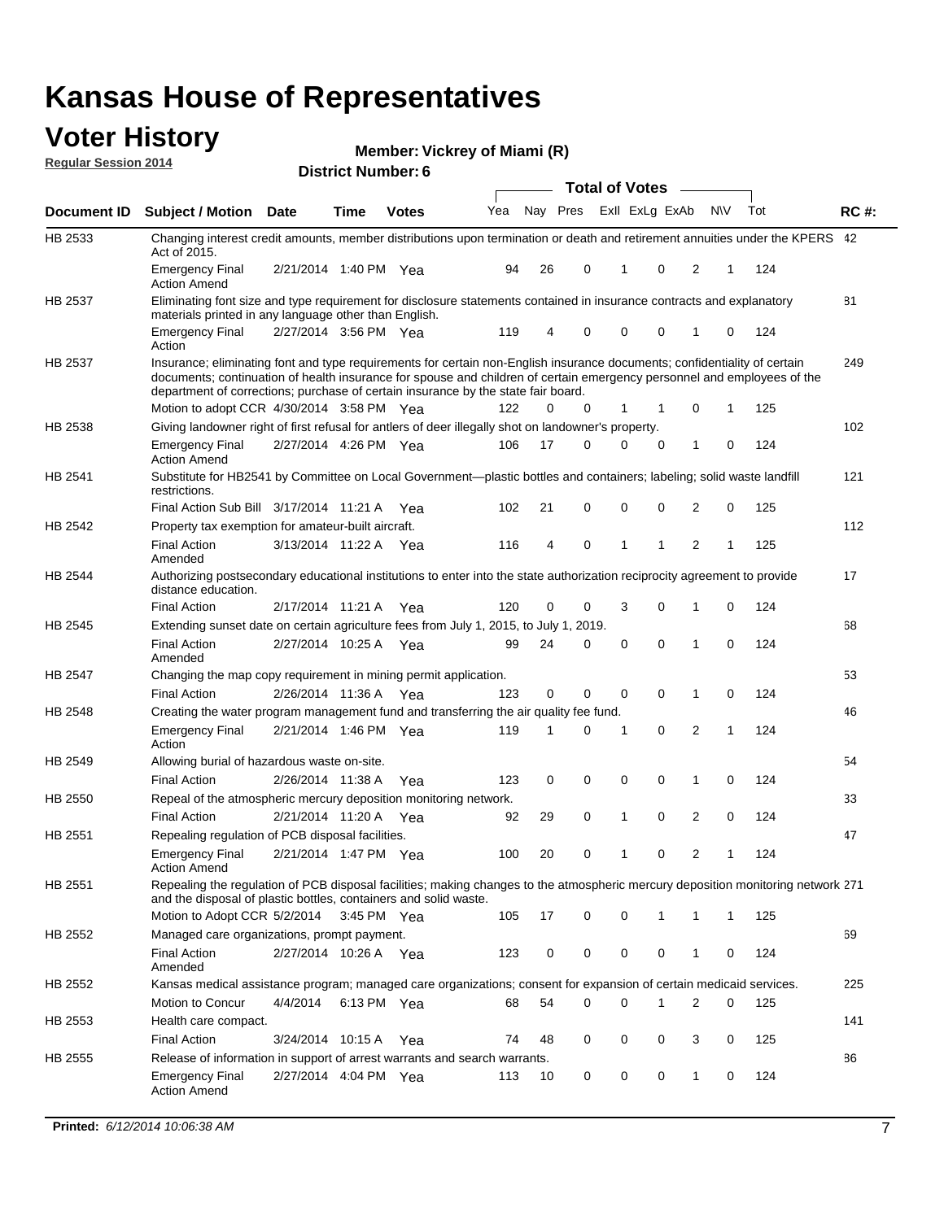#### **Voter History Regular Session 2014**

**Vickrey of Miami (R)**

|                |                                                                                                                                                                                                                                                                                                                                           |                       | <b>DISTRICT MAILINGLE</b> |              |     |    |          | <b>Total of Votes</b> |              |                |                |   |     |             |
|----------------|-------------------------------------------------------------------------------------------------------------------------------------------------------------------------------------------------------------------------------------------------------------------------------------------------------------------------------------------|-----------------------|---------------------------|--------------|-----|----|----------|-----------------------|--------------|----------------|----------------|---|-----|-------------|
| Document ID    | <b>Subject / Motion</b>                                                                                                                                                                                                                                                                                                                   | <b>Date</b>           | Time                      | <b>Votes</b> | Yea |    | Nay Pres |                       |              | Exll ExLg ExAb | <b>NV</b>      |   | Tot | <b>RC#:</b> |
| HB 2533        | Changing interest credit amounts, member distributions upon termination or death and retirement annuities under the KPERS 42<br>Act of 2015.                                                                                                                                                                                              |                       |                           |              |     |    |          |                       |              |                |                |   |     |             |
|                | <b>Emergency Final</b><br><b>Action Amend</b>                                                                                                                                                                                                                                                                                             | 2/21/2014 1:40 PM Yea |                           |              | 94  | 26 | 0        |                       | 1            | 0              | 2              | 1 | 124 |             |
| HB 2537        | Eliminating font size and type requirement for disclosure statements contained in insurance contracts and explanatory<br>materials printed in any language other than English.                                                                                                                                                            |                       |                           |              |     |    |          |                       |              |                |                |   |     | 81          |
|                | <b>Emergency Final</b><br>Action                                                                                                                                                                                                                                                                                                          | 2/27/2014 3:56 PM Yea |                           |              | 119 | 4  | 0        |                       | $\mathbf 0$  | 0              | 1              | 0 | 124 |             |
| HB 2537        | Insurance; eliminating font and type requirements for certain non-English insurance documents; confidentiality of certain<br>documents; continuation of health insurance for spouse and children of certain emergency personnel and employees of the<br>department of corrections; purchase of certain insurance by the state fair board. |                       |                           |              |     |    |          |                       |              |                |                |   |     | 249         |
|                | Motion to adopt CCR 4/30/2014 3:58 PM Yea                                                                                                                                                                                                                                                                                                 |                       |                           |              | 122 | 0  | 0        |                       | 1            | 1              | 0              | 1 | 125 |             |
| HB 2538        | Giving landowner right of first refusal for antlers of deer illegally shot on landowner's property.                                                                                                                                                                                                                                       |                       |                           |              |     |    |          |                       |              |                |                |   |     | 102         |
|                | <b>Emergency Final</b><br>Action Amend                                                                                                                                                                                                                                                                                                    | 2/27/2014 4:26 PM Yea |                           |              | 106 | 17 | 0        |                       | $\mathbf 0$  | 0              | 1              | 0 | 124 |             |
| HB 2541        | Substitute for HB2541 by Committee on Local Government—plastic bottles and containers; labeling; solid waste landfill<br>restrictions.                                                                                                                                                                                                    |                       |                           |              |     |    |          |                       |              |                |                |   |     | 121         |
|                | Final Action Sub Bill 3/17/2014 11:21 A Yea                                                                                                                                                                                                                                                                                               |                       |                           |              | 102 | 21 | 0        |                       | $\mathbf 0$  | 0              | 2              | 0 | 125 |             |
| HB 2542        | Property tax exemption for amateur-built aircraft.                                                                                                                                                                                                                                                                                        |                       |                           |              |     |    |          |                       |              |                |                |   |     | 112         |
|                | <b>Final Action</b><br>Amended                                                                                                                                                                                                                                                                                                            | 3/13/2014 11:22 A Yea |                           |              | 116 | 4  | 0        |                       | $\mathbf{1}$ | 1              | 2              | 1 | 125 |             |
| HB 2544        | Authorizing postsecondary educational institutions to enter into the state authorization reciprocity agreement to provide<br>distance education.                                                                                                                                                                                          |                       |                           |              |     |    |          |                       |              |                |                |   |     | 17          |
|                | <b>Final Action</b>                                                                                                                                                                                                                                                                                                                       | 2/17/2014 11:21 A Yea |                           |              | 120 | 0  | 0        |                       | 3            | 0              | 1              | 0 | 124 |             |
| HB 2545        | Extending sunset date on certain agriculture fees from July 1, 2015, to July 1, 2019.<br>Final Action                                                                                                                                                                                                                                     | 2/27/2014 10:25 A Yea |                           |              | 99  | 24 | 0        |                       | $\mathbf 0$  | $\Omega$       | 1              | 0 | 124 | 68          |
| HB 2547        | Amended<br>Changing the map copy requirement in mining permit application.                                                                                                                                                                                                                                                                |                       |                           |              |     |    |          |                       |              |                |                |   |     | 53          |
|                | <b>Final Action</b>                                                                                                                                                                                                                                                                                                                       | 2/26/2014 11:36 A     |                           | Yea          | 123 | 0  | 0        |                       | 0            | 0              | 1              | 0 | 124 |             |
| HB 2548        | Creating the water program management fund and transferring the air quality fee fund.                                                                                                                                                                                                                                                     |                       |                           |              |     |    |          |                       |              |                |                |   |     | 46          |
|                | <b>Emergency Final</b><br>Action                                                                                                                                                                                                                                                                                                          | 2/21/2014 1:46 PM Yea |                           |              | 119 | 1  | 0        |                       | 1            | $\mathbf 0$    | 2              | 1 | 124 |             |
| HB 2549        | Allowing burial of hazardous waste on-site.                                                                                                                                                                                                                                                                                               |                       |                           |              |     |    |          |                       |              |                |                |   |     | 54          |
|                | <b>Final Action</b>                                                                                                                                                                                                                                                                                                                       | 2/26/2014 11:38 A     |                           | Yea          | 123 | 0  | 0        |                       | $\mathbf 0$  | 0              | 1              | 0 | 124 |             |
| HB 2550        | Repeal of the atmospheric mercury deposition monitoring network.                                                                                                                                                                                                                                                                          |                       |                           |              |     |    |          |                       |              |                |                |   |     | 33          |
|                | <b>Final Action</b>                                                                                                                                                                                                                                                                                                                       | 2/21/2014 11:20 A     |                           | Yea          | 92  | 29 | 0        |                       | 1            | 0              | 2              | 0 | 124 |             |
| HB 2551        | Repealing regulation of PCB disposal facilities.                                                                                                                                                                                                                                                                                          |                       |                           |              |     |    |          |                       |              |                |                |   |     | 47          |
|                | Emergency Final<br>Action Amend                                                                                                                                                                                                                                                                                                           | 2/21/2014 1:47 PM Yea |                           |              | 100 | 20 | 0        |                       | 1            | 0              | 2              | 1 | 124 |             |
| HB 2551        | Repealing the regulation of PCB disposal facilities; making changes to the atmospheric mercury deposition monitoring network 271<br>and the disposal of plastic bottles, containers and solid waste.                                                                                                                                      |                       |                           |              |     |    |          |                       |              |                |                |   |     |             |
|                | Motion to Adopt CCR 5/2/2014 3:45 PM Yea                                                                                                                                                                                                                                                                                                  |                       |                           |              | 105 | 17 | 0        |                       | $\mathbf 0$  | 1              | 1              | 1 | 125 |             |
| <b>HB 2552</b> | Managed care organizations, prompt payment.                                                                                                                                                                                                                                                                                               |                       |                           |              |     |    |          |                       |              |                |                |   |     | 69          |
|                | Final Action<br>Amended                                                                                                                                                                                                                                                                                                                   | 2/27/2014 10:26 A Yea |                           |              | 123 | 0  | 0        |                       | 0            | 0              | 1              | 0 | 124 |             |
| HB 2552        | Kansas medical assistance program; managed care organizations; consent for expansion of certain medicaid services.                                                                                                                                                                                                                        |                       |                           |              |     |    |          |                       |              |                |                |   |     | 225         |
|                | Motion to Concur                                                                                                                                                                                                                                                                                                                          | 4/4/2014              | 6:13 PM Yea               |              | 68  | 54 | 0        |                       | $\mathbf 0$  | 1              | $\overline{2}$ | 0 | 125 |             |
| HB 2553        | Health care compact.                                                                                                                                                                                                                                                                                                                      |                       |                           |              |     |    |          |                       |              |                |                |   |     | 141         |
|                | <b>Final Action</b>                                                                                                                                                                                                                                                                                                                       | 3/24/2014 10:15 A Yea |                           |              | 74  | 48 | 0        |                       | 0            | 0              | 3              | 0 | 125 |             |
| HB 2555        | Release of information in support of arrest warrants and search warrants.                                                                                                                                                                                                                                                                 |                       |                           |              |     |    |          |                       |              |                |                |   |     | 86          |
|                | Emergency Final<br><b>Action Amend</b>                                                                                                                                                                                                                                                                                                    | 2/27/2014 4:04 PM Yea |                           |              | 113 | 10 | 0        |                       | 0            | 0              | $\mathbf{1}$   | 0 | 124 |             |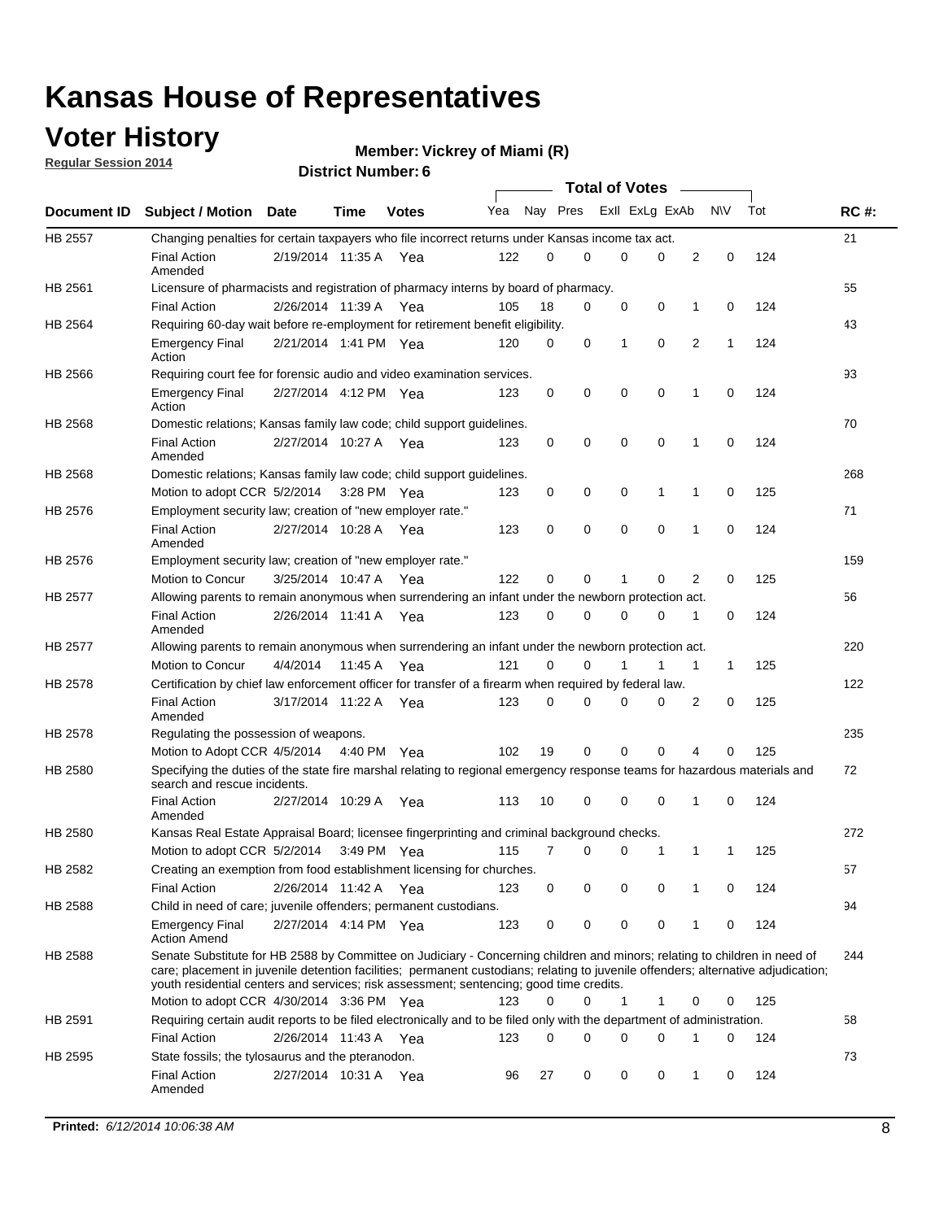### **Voter History**

**Regular Session 2014**

#### **Vickrey of Miami (R)**

|                |                                                                                                                                                                                                                                                                                                                                                           |                       |         |              |     |          |   | <b>Total of Votes</b> |             |             |             |     |             |
|----------------|-----------------------------------------------------------------------------------------------------------------------------------------------------------------------------------------------------------------------------------------------------------------------------------------------------------------------------------------------------------|-----------------------|---------|--------------|-----|----------|---|-----------------------|-------------|-------------|-------------|-----|-------------|
|                | Document ID Subject / Motion Date                                                                                                                                                                                                                                                                                                                         |                       | Time    | <b>Votes</b> | Yea | Nay Pres |   | Exll ExLg ExAb        |             |             | <b>NV</b>   | Tot | <b>RC#:</b> |
| <b>HB 2557</b> | Changing penalties for certain taxpayers who file incorrect returns under Kansas income tax act.                                                                                                                                                                                                                                                          |                       |         |              |     |          |   |                       |             |             |             |     | 21          |
|                | <b>Final Action</b><br>Amended                                                                                                                                                                                                                                                                                                                            | 2/19/2014 11:35 A     |         | Yea          | 122 | 0        | 0 | 0                     | 0           | 2           | $\mathbf 0$ | 124 |             |
| HB 2561        | Licensure of pharmacists and registration of pharmacy interns by board of pharmacy.                                                                                                                                                                                                                                                                       |                       |         |              |     |          |   |                       |             |             |             |     | 55          |
|                | <b>Final Action</b>                                                                                                                                                                                                                                                                                                                                       | 2/26/2014 11:39 A Yea |         |              | 105 | 18       | 0 | 0                     | 0           | 1           | 0           | 124 |             |
| HB 2564        | Requiring 60-day wait before re-employment for retirement benefit eligibility.                                                                                                                                                                                                                                                                            |                       |         |              |     |          |   |                       |             |             |             |     | 43          |
|                | <b>Emergency Final</b><br>Action                                                                                                                                                                                                                                                                                                                          | 2/21/2014 1:41 PM Yea |         |              | 120 | 0        | 0 | 1                     | 0           | 2           | 1           | 124 |             |
| HB 2566        | Requiring court fee for forensic audio and video examination services.                                                                                                                                                                                                                                                                                    |                       |         |              |     |          |   |                       |             |             |             |     | 93          |
|                | <b>Emergency Final</b><br>Action                                                                                                                                                                                                                                                                                                                          | 2/27/2014 4:12 PM Yea |         |              | 123 | 0        | 0 | 0                     | $\mathbf 0$ | $\mathbf 1$ | 0           | 124 |             |
| HB 2568        | Domestic relations; Kansas family law code; child support guidelines.                                                                                                                                                                                                                                                                                     |                       |         |              |     |          |   |                       |             |             |             |     | 70          |
|                | <b>Final Action</b><br>Amended                                                                                                                                                                                                                                                                                                                            | 2/27/2014 10:27 A     |         | Yea          | 123 | 0        | 0 | 0                     | $\mathbf 0$ | 1           | 0           | 124 |             |
| HB 2568        | Domestic relations; Kansas family law code; child support guidelines.                                                                                                                                                                                                                                                                                     |                       |         |              |     |          |   |                       |             |             |             |     | 268         |
|                | Motion to adopt CCR 5/2/2014                                                                                                                                                                                                                                                                                                                              |                       |         | 3:28 PM Yea  | 123 | 0        | 0 | 0                     | 1           | 1           | $\mathbf 0$ | 125 |             |
| HB 2576        | Employment security law; creation of "new employer rate."                                                                                                                                                                                                                                                                                                 |                       |         |              |     |          |   |                       |             |             |             |     | 71          |
|                | <b>Final Action</b><br>Amended                                                                                                                                                                                                                                                                                                                            | 2/27/2014 10:28 A Yea |         |              | 123 | 0        | 0 | 0                     | 0           | 1           | 0           | 124 |             |
| HB 2576        | Employment security law; creation of "new employer rate."                                                                                                                                                                                                                                                                                                 |                       |         |              |     |          |   |                       |             |             |             |     | 159         |
|                | Motion to Concur                                                                                                                                                                                                                                                                                                                                          | 3/25/2014 10:47 A     |         | Yea          | 122 | 0        | 0 | 1                     | 0           | 2           | 0           | 125 |             |
| HB 2577        | Allowing parents to remain anonymous when surrendering an infant under the newborn protection act.                                                                                                                                                                                                                                                        |                       |         |              |     |          |   |                       |             |             |             |     | 56          |
|                | <b>Final Action</b><br>Amended                                                                                                                                                                                                                                                                                                                            | 2/26/2014 11:41 A Yea |         |              | 123 | $\Omega$ | 0 | 0                     | $\Omega$    | 1           | 0           | 124 |             |
| HB 2577        | Allowing parents to remain anonymous when surrendering an infant under the newborn protection act.                                                                                                                                                                                                                                                        |                       |         |              |     |          |   |                       |             |             |             |     | 220         |
|                | Motion to Concur                                                                                                                                                                                                                                                                                                                                          | 4/4/2014              | 11:45 A | Yea          | 121 | $\Omega$ | 0 | 1                     | 1           | 1           | 1           | 125 |             |
| HB 2578        | Certification by chief law enforcement officer for transfer of a firearm when required by federal law.                                                                                                                                                                                                                                                    |                       |         |              |     |          |   |                       |             |             |             |     | 122         |
|                | <b>Final Action</b><br>Amended                                                                                                                                                                                                                                                                                                                            | 3/17/2014 11:22 A     |         | Yea          | 123 | $\Omega$ | 0 | 0                     | 0           | 2           | 0           | 125 |             |
| HB 2578        | Regulating the possession of weapons.                                                                                                                                                                                                                                                                                                                     |                       |         |              |     |          |   |                       |             |             |             |     | 235         |
|                | Motion to Adopt CCR 4/5/2014 4:40 PM Yea                                                                                                                                                                                                                                                                                                                  |                       |         |              | 102 | 19       | 0 | 0                     | 0           | 4           | 0           | 125 |             |
| HB 2580        | Specifying the duties of the state fire marshal relating to regional emergency response teams for hazardous materials and<br>search and rescue incidents.                                                                                                                                                                                                 |                       |         |              |     |          |   |                       |             |             |             |     | 72          |
|                | <b>Final Action</b><br>Amended                                                                                                                                                                                                                                                                                                                            | 2/27/2014 10:29 A     |         | Yea          | 113 | 10       | 0 | 0                     | $\mathbf 0$ | 1           | 0           | 124 |             |
| HB 2580        | Kansas Real Estate Appraisal Board; licensee fingerprinting and criminal background checks.                                                                                                                                                                                                                                                               |                       |         |              |     |          |   |                       |             |             |             |     | 272         |
|                | Motion to adopt CCR 5/2/2014                                                                                                                                                                                                                                                                                                                              |                       |         | 3:49 PM Yea  | 115 | 7        | 0 | 0                     | 1           | 1           | 1           | 125 |             |
| HB 2582        | Creating an exemption from food establishment licensing for churches.                                                                                                                                                                                                                                                                                     |                       |         |              |     |          |   |                       |             |             |             |     | 57          |
|                | <b>Final Action</b>                                                                                                                                                                                                                                                                                                                                       | 2/26/2014 11:42 A Yea |         |              | 123 | 0        | 0 | 0                     | 0           |             | 0           | 124 |             |
| HB 2588        | Child in need of care; juvenile offenders; permanent custodians.                                                                                                                                                                                                                                                                                          |                       |         |              |     |          |   |                       |             |             |             |     | 94          |
|                | <b>Emergency Final</b><br><b>Action Amend</b>                                                                                                                                                                                                                                                                                                             | 2/27/2014 4:14 PM Yea |         |              | 123 | 0        | 0 | 0                     | 0           | 1           | 0           | 124 |             |
| HB 2588        | Senate Substitute for HB 2588 by Committee on Judiciary - Concerning children and minors; relating to children in need of<br>care; placement in juvenile detention facilities; permanent custodians; relating to juvenile offenders; alternative adjudication;<br>youth residential centers and services; risk assessment; sentencing; good time credits. |                       |         |              |     |          |   |                       |             |             |             |     | 244         |
|                | Motion to adopt CCR 4/30/2014 3:36 PM Yea                                                                                                                                                                                                                                                                                                                 |                       |         |              | 123 | 0        | 0 | 1                     | 1           | 0           | 0           | 125 |             |
| HB 2591        | Requiring certain audit reports to be filed electronically and to be filed only with the department of administration.                                                                                                                                                                                                                                    |                       |         |              |     |          |   |                       |             |             |             |     | 58          |
|                | <b>Final Action</b>                                                                                                                                                                                                                                                                                                                                       | 2/26/2014 11:43 A Yea |         |              | 123 | 0        | 0 | 0                     | 0           | 1           | 0           | 124 |             |
| HB 2595        | State fossils; the tylosaurus and the pteranodon.                                                                                                                                                                                                                                                                                                         |                       |         |              |     |          |   |                       |             |             |             |     | 73          |
|                | <b>Final Action</b><br>Amended                                                                                                                                                                                                                                                                                                                            | 2/27/2014 10:31 A Yea |         |              | 96  | 27       | 0 | 0                     | 0           | 1           | 0           | 124 |             |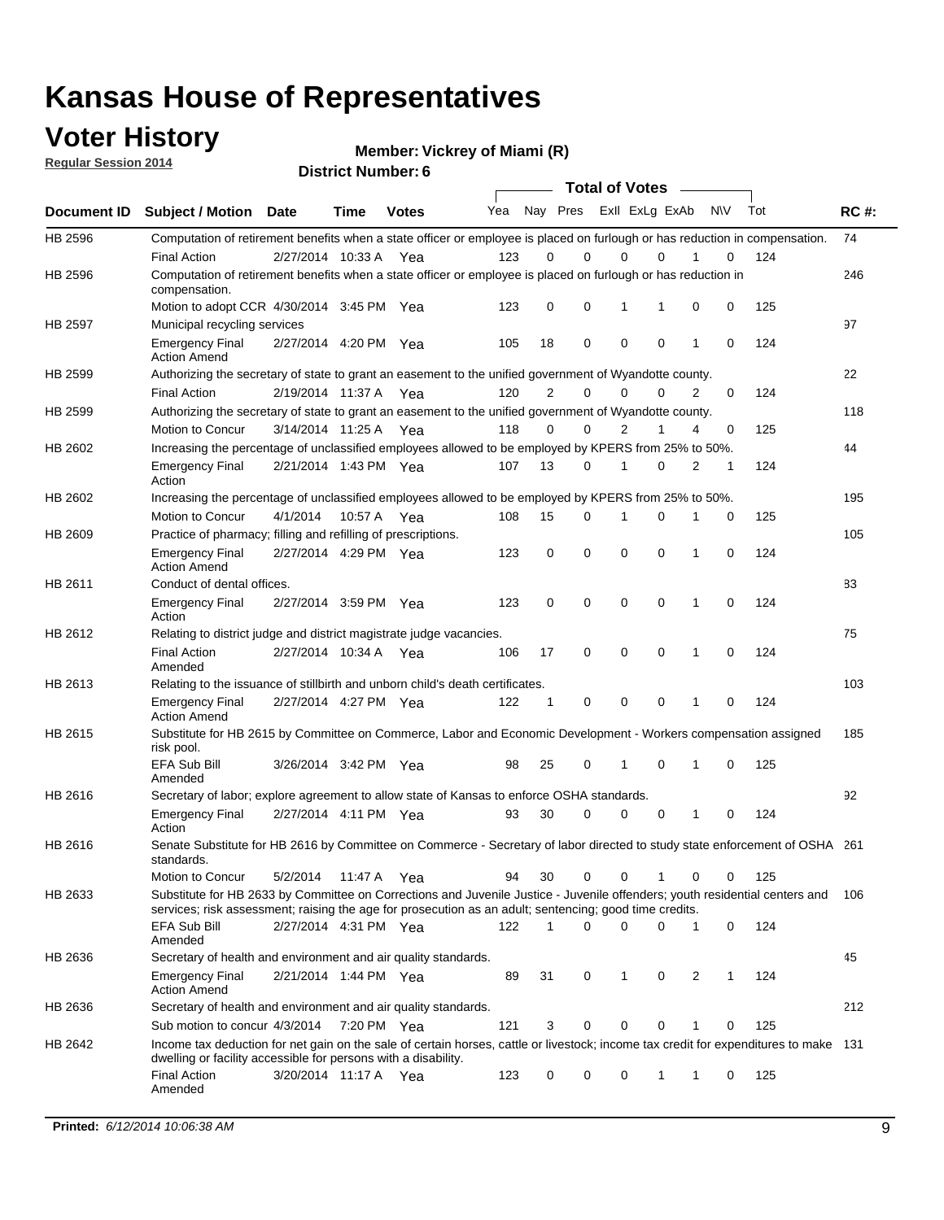# **Voter History**<br> **Regular Session 2014**

**Regular Session 2014**

**Vickrey of Miami (R)**

| District Number: 6 |  |
|--------------------|--|
|                    |  |

|             |                                                                                                                                                                                                                                       |                       |             |              |     |             | <b>Total of Votes</b>   |             |             |              |           |     |             |
|-------------|---------------------------------------------------------------------------------------------------------------------------------------------------------------------------------------------------------------------------------------|-----------------------|-------------|--------------|-----|-------------|-------------------------|-------------|-------------|--------------|-----------|-----|-------------|
| Document ID | <b>Subject / Motion</b>                                                                                                                                                                                                               | Date                  | Time        | <b>Votes</b> | Yea |             | Nay Pres ExII ExLg ExAb |             |             |              | <b>NV</b> | Tot | <b>RC#:</b> |
| HB 2596     | Computation of retirement benefits when a state officer or employee is placed on furlough or has reduction in compensation.                                                                                                           |                       |             |              |     |             | 0                       |             | $\Omega$    |              | 0         |     | 74          |
| HB 2596     | <b>Final Action</b><br>Computation of retirement benefits when a state officer or employee is placed on furlough or has reduction in<br>compensation.                                                                                 | 2/27/2014 10:33 A     |             | Yea          | 123 | 0           |                         | $\mathbf 0$ |             |              |           | 124 | 246         |
|             | Motion to adopt CCR 4/30/2014 3:45 PM Yea                                                                                                                                                                                             |                       |             |              | 123 | 0           | 0                       | 1           | 1           | 0            | 0         | 125 |             |
| HB 2597     | Municipal recycling services                                                                                                                                                                                                          |                       |             |              |     |             |                         |             |             |              |           |     | 97          |
|             | <b>Emergency Final</b><br><b>Action Amend</b>                                                                                                                                                                                         | 2/27/2014 4:20 PM Yea |             |              | 105 | 18          | 0                       | $\mathbf 0$ | 0           | $\mathbf{1}$ | 0         | 124 |             |
| HB 2599     | Authorizing the secretary of state to grant an easement to the unified government of Wyandotte county.                                                                                                                                |                       |             |              |     |             |                         |             |             |              |           |     | 22          |
|             | <b>Final Action</b>                                                                                                                                                                                                                   | 2/19/2014 11:37 A     |             | Yea          | 120 | 2           | 0                       | 0           | $\mathbf 0$ | 2            | 0         | 124 |             |
| HB 2599     | Authorizing the secretary of state to grant an easement to the unified government of Wyandotte county.                                                                                                                                |                       |             |              |     |             |                         |             |             |              |           |     | 118         |
|             | Motion to Concur                                                                                                                                                                                                                      | 3/14/2014 11:25 A     |             | Yea          | 118 | 0           | 0                       | 2           | 1           | 4            | 0         | 125 |             |
| HB 2602     | Increasing the percentage of unclassified employees allowed to be employed by KPERS from 25% to 50%.                                                                                                                                  |                       |             |              |     |             |                         |             |             |              |           |     | 44          |
|             | <b>Emergency Final</b><br>Action                                                                                                                                                                                                      | 2/21/2014 1:43 PM Yea |             |              | 107 | 13          | 0                       | 1           | 0           | 2            | 1         | 124 |             |
| HB 2602     | Increasing the percentage of unclassified employees allowed to be employed by KPERS from 25% to 50%.                                                                                                                                  |                       |             |              |     |             |                         |             |             |              |           |     | 195         |
|             | Motion to Concur                                                                                                                                                                                                                      | 4/1/2014              | 10:57 A     | Yea          | 108 | 15          | 0                       | 1           | $\mathbf 0$ | 1            | 0         | 125 |             |
| HB 2609     | Practice of pharmacy; filling and refilling of prescriptions.                                                                                                                                                                         |                       |             |              |     |             |                         |             |             |              |           |     | 105         |
|             | <b>Emergency Final</b><br><b>Action Amend</b>                                                                                                                                                                                         | 2/27/2014 4:29 PM Yea |             |              | 123 | $\mathbf 0$ | $\mathbf 0$             | $\mathbf 0$ | $\mathbf 0$ | 1            | $\Omega$  | 124 |             |
| HB 2611     | Conduct of dental offices.                                                                                                                                                                                                            |                       |             |              |     |             |                         |             |             |              |           |     | 83          |
|             | <b>Emergency Final</b><br>Action                                                                                                                                                                                                      | 2/27/2014 3:59 PM Yea |             |              | 123 | 0           | 0                       | $\mathbf 0$ | $\mathbf 0$ | 1            | 0         | 124 |             |
| HB 2612     | Relating to district judge and district magistrate judge vacancies.                                                                                                                                                                   |                       |             |              |     |             |                         |             |             |              |           |     | 75          |
|             | <b>Final Action</b><br>Amended                                                                                                                                                                                                        | 2/27/2014 10:34 A     |             | Yea          | 106 | 17          | 0                       | $\mathbf 0$ | $\mathbf 0$ | 1            | 0         | 124 |             |
| HB 2613     | Relating to the issuance of stillbirth and unborn child's death certificates.                                                                                                                                                         |                       |             |              |     |             |                         |             |             |              |           |     | 103         |
|             | <b>Emergency Final</b><br><b>Action Amend</b>                                                                                                                                                                                         | 2/27/2014 4:27 PM Yea |             |              | 122 | $\mathbf 1$ | 0                       | $\mathbf 0$ | 0           | 1            | 0         | 124 |             |
| HB 2615     | Substitute for HB 2615 by Committee on Commerce, Labor and Economic Development - Workers compensation assigned<br>risk pool.                                                                                                         |                       |             |              |     |             |                         |             |             |              |           |     | 185         |
|             | EFA Sub Bill<br>Amended                                                                                                                                                                                                               | 3/26/2014 3:42 PM Yea |             |              | 98  | 25          | 0                       | 1           | 0           | 1            | 0         | 125 |             |
| HB 2616     | Secretary of labor; explore agreement to allow state of Kansas to enforce OSHA standards.                                                                                                                                             |                       |             |              |     |             |                         |             |             |              |           |     | 92          |
|             | <b>Emergency Final</b><br>Action                                                                                                                                                                                                      | 2/27/2014 4:11 PM Yea |             |              | 93  | 30          | $\Omega$                | $\mathbf 0$ | 0           | 1            | 0         | 124 |             |
| HB 2616     | Senate Substitute for HB 2616 by Committee on Commerce - Secretary of labor directed to study state enforcement of OSHA 261<br>standards.                                                                                             |                       |             |              |     |             |                         |             |             |              |           |     |             |
|             | Motion to Concur                                                                                                                                                                                                                      | 5/2/2014 11:47 A      |             | Yea          | 94  | 30          | 0                       | $\mathbf 0$ | 1           | 0            | 0         | 125 |             |
| HB 2633     | Substitute for HB 2633 by Committee on Corrections and Juvenile Justice - Juvenile offenders; youth residential centers and<br>services; risk assessment; raising the age for prosecution as an adult; sentencing; good time credits. |                       |             |              |     |             |                         |             |             |              |           |     | - 106       |
|             | <b>EFA Sub Bill</b><br>Amended                                                                                                                                                                                                        | 2/27/2014 4:31 PM Yea |             |              | 122 | 1           | 0                       | 0           | 0           | 1            | 0         | 124 |             |
| HB 2636     | Secretary of health and environment and air quality standards.                                                                                                                                                                        |                       |             |              |     |             |                         |             |             |              |           |     | 45          |
|             | <b>Emergency Final</b><br><b>Action Amend</b>                                                                                                                                                                                         | 2/21/2014 1:44 PM Yea |             |              | 89  | 31          | 0                       | 1           | 0           | 2            |           | 124 |             |
| HB 2636     | Secretary of health and environment and air quality standards.                                                                                                                                                                        |                       |             |              |     |             |                         |             |             |              |           |     | 212         |
|             | Sub motion to concur 4/3/2014                                                                                                                                                                                                         |                       | 7:20 PM Yea |              | 121 | 3           | 0                       | 0           | 0           | 1            | 0         | 125 |             |
| HB 2642     | Income tax deduction for net gain on the sale of certain horses, cattle or livestock; income tax credit for expenditures to make 131<br>dwelling or facility accessible for persons with a disability.                                |                       |             |              |     |             |                         |             |             |              |           |     |             |
|             | <b>Final Action</b><br>Amended                                                                                                                                                                                                        | 3/20/2014 11:17 A Yea |             |              | 123 | 0           | 0                       | 0           | 1           | 1            | 0         | 125 |             |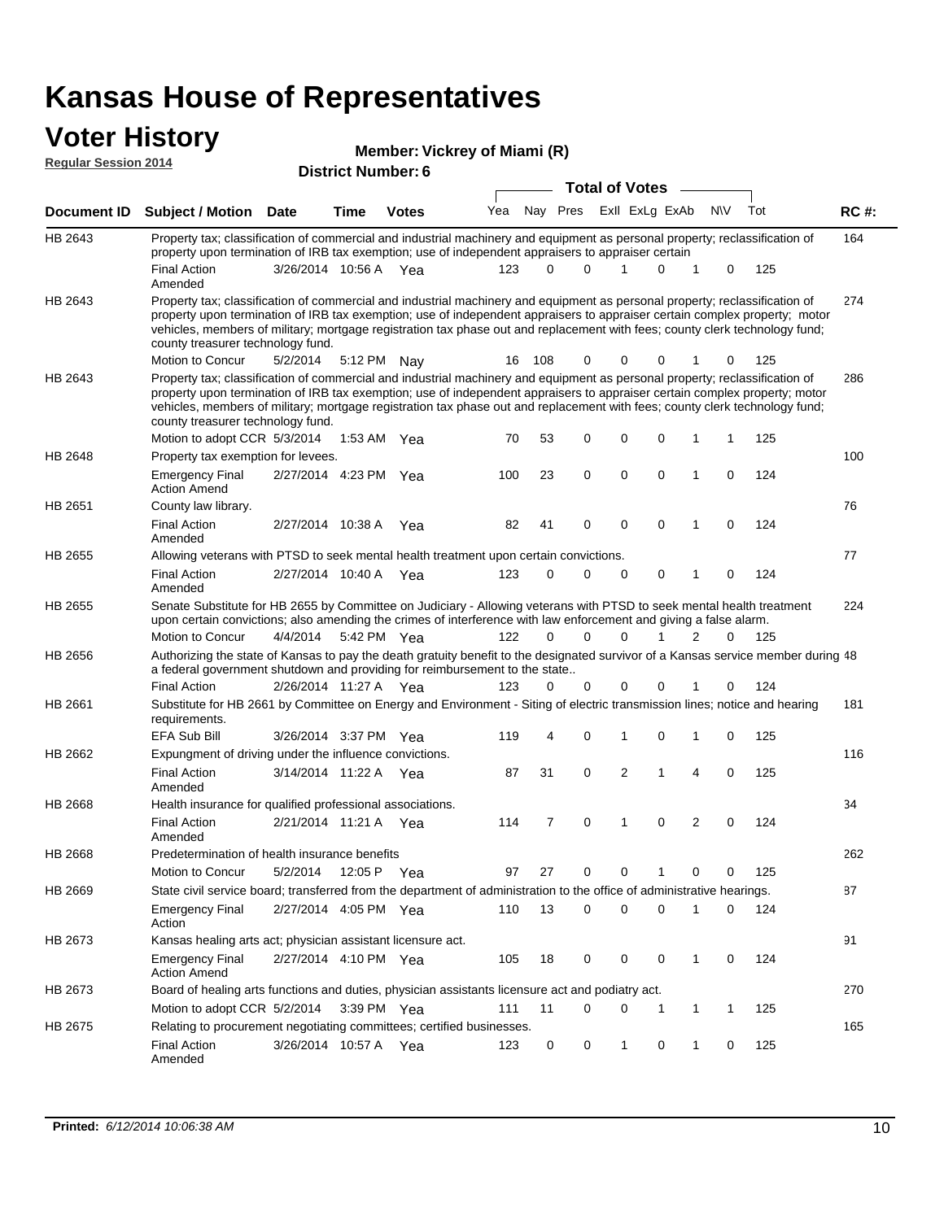# **Voter History Member: Regular Session 2014**

| Member: Vickrey of Miami (R) |  |
|------------------------------|--|
|------------------------------|--|

| noguidi ocoololi 4017 |                                                                                                                                                                                                                                                                                                                                                                                                                               | <b>District Number: 6</b><br><b>Total of Votes</b> |      |              |     |     |                      |  |                |                             |           |          |     |             |
|-----------------------|-------------------------------------------------------------------------------------------------------------------------------------------------------------------------------------------------------------------------------------------------------------------------------------------------------------------------------------------------------------------------------------------------------------------------------|----------------------------------------------------|------|--------------|-----|-----|----------------------|--|----------------|-----------------------------|-----------|----------|-----|-------------|
|                       |                                                                                                                                                                                                                                                                                                                                                                                                                               |                                                    |      |              |     |     |                      |  |                |                             |           |          |     |             |
| Document ID           | <b>Subject / Motion Date</b>                                                                                                                                                                                                                                                                                                                                                                                                  |                                                    | Time | <b>Votes</b> | Yea |     | Nay Pres             |  |                | Exll ExLg ExAb              | <b>NV</b> |          | Tot | <b>RC#:</b> |
| HB 2643               | Property tax; classification of commercial and industrial machinery and equipment as personal property; reclassification of<br>property upon termination of IRB tax exemption; use of independent appraisers to appraiser certain                                                                                                                                                                                             |                                                    |      |              |     |     |                      |  |                |                             |           |          |     | 164         |
|                       | Final Action<br>Amended                                                                                                                                                                                                                                                                                                                                                                                                       | 3/26/2014 10:56 A Yea                              |      |              | 123 |     | 0<br>0               |  | 1              | 0<br>1                      |           | 0        | 125 |             |
| HB 2643               | Property tax; classification of commercial and industrial machinery and equipment as personal property; reclassification of<br>property upon termination of IRB tax exemption; use of independent appraisers to appraiser certain complex property; motor<br>vehicles, members of military; mortgage registration tax phase out and replacement with fees; county clerk technology fund;<br>county treasurer technology fund. |                                                    |      |              |     |     |                      |  |                |                             |           |          |     | 274         |
|                       | Motion to Concur                                                                                                                                                                                                                                                                                                                                                                                                              | 5/2/2014                                           |      | 5:12 PM Nav  | 16  | 108 | 0                    |  | 0              | 0                           |           | 0        | 125 |             |
| HB 2643               | Property tax; classification of commercial and industrial machinery and equipment as personal property; reclassification of<br>property upon termination of IRB tax exemption; use of independent appraisers to appraiser certain complex property; motor<br>vehicles, members of military; mortgage registration tax phase out and replacement with fees; county clerk technology fund;<br>county treasurer technology fund. |                                                    |      |              |     |     |                      |  |                |                             |           |          |     | 286         |
|                       | Motion to adopt CCR 5/3/2014                                                                                                                                                                                                                                                                                                                                                                                                  |                                                    |      | 1:53 AM Yea  | 70  | 53  | 0                    |  | $\mathbf 0$    | 0                           |           | 1        | 125 |             |
| HB 2648               | Property tax exemption for levees.                                                                                                                                                                                                                                                                                                                                                                                            |                                                    |      |              |     |     |                      |  |                |                             |           |          |     | 100         |
|                       | <b>Emergency Final</b><br><b>Action Amend</b>                                                                                                                                                                                                                                                                                                                                                                                 | 2/27/2014 4:23 PM Yea                              |      |              | 100 | 23  | 0                    |  | $\mathbf 0$    | 0<br>1                      |           | 0        | 124 |             |
| HB 2651               | County law library.                                                                                                                                                                                                                                                                                                                                                                                                           |                                                    |      |              |     |     |                      |  |                |                             |           |          |     | 76          |
|                       | <b>Final Action</b><br>Amended                                                                                                                                                                                                                                                                                                                                                                                                | 2/27/2014 10:38 A                                  |      | Yea          | 82  | 41  | $\mathbf 0$          |  | $\mathbf 0$    | $\mathbf 0$<br>$\mathbf{1}$ |           | 0        | 124 |             |
| HB 2655               | Allowing veterans with PTSD to seek mental health treatment upon certain convictions.                                                                                                                                                                                                                                                                                                                                         |                                                    |      |              |     |     |                      |  |                |                             |           |          |     | 77          |
|                       | <b>Final Action</b><br>Amended                                                                                                                                                                                                                                                                                                                                                                                                | 2/27/2014 10:40 A                                  |      | Yea          | 123 |     | 0<br>0               |  | $\mathbf 0$    | 0<br>1                      |           | 0        | 124 |             |
| HB 2655               | Senate Substitute for HB 2655 by Committee on Judiciary - Allowing veterans with PTSD to seek mental health treatment<br>upon certain convictions; also amending the crimes of interference with law enforcement and giving a false alarm.                                                                                                                                                                                    |                                                    |      |              |     |     |                      |  |                |                             |           |          |     | 224         |
|                       | Motion to Concur                                                                                                                                                                                                                                                                                                                                                                                                              | 4/4/2014                                           |      | 5:42 PM Yea  | 122 |     | $\Omega$<br>$\Omega$ |  | $\Omega$       | 2<br>1                      |           | $\Omega$ | 125 |             |
| HB 2656               | Authorizing the state of Kansas to pay the death gratuity benefit to the designated survivor of a Kansas service member during 48<br>a federal government shutdown and providing for reimbursement to the state                                                                                                                                                                                                               |                                                    |      |              |     |     |                      |  |                |                             |           |          |     |             |
|                       | <b>Final Action</b>                                                                                                                                                                                                                                                                                                                                                                                                           | 2/26/2014 11:27 A Yea                              |      |              | 123 |     | 0<br>0               |  | 0              |                             |           | 0        | 124 |             |
| HB 2661               | Substitute for HB 2661 by Committee on Energy and Environment - Siting of electric transmission lines; notice and hearing<br>requirements.                                                                                                                                                                                                                                                                                    |                                                    |      |              |     |     |                      |  |                |                             |           |          |     | 181         |
|                       | <b>EFA Sub Bill</b>                                                                                                                                                                                                                                                                                                                                                                                                           | 3/26/2014 3:37 PM Yea                              |      |              | 119 |     | 0<br>4               |  | 1              | 0<br>1                      |           | 0        | 125 |             |
| HB 2662               | Expungment of driving under the influence convictions.                                                                                                                                                                                                                                                                                                                                                                        |                                                    |      |              |     |     |                      |  |                |                             |           |          |     | 116         |
|                       | <b>Final Action</b><br>Amended                                                                                                                                                                                                                                                                                                                                                                                                | 3/14/2014 11:22 A Yea                              |      |              | 87  | 31  | $\mathbf 0$          |  | $\overline{2}$ | $\mathbf{1}$<br>4           |           | 0        | 125 |             |
| HB 2668               | Health insurance for qualified professional associations.                                                                                                                                                                                                                                                                                                                                                                     |                                                    |      |              |     |     |                      |  |                |                             |           |          |     | 34          |
|                       | <b>Final Action</b><br>Amended                                                                                                                                                                                                                                                                                                                                                                                                | 2/21/2014 11:21 A Yea                              |      |              | 114 |     | 0<br>7               |  | 1              | 2<br>0                      |           | 0        | 124 |             |
| <b>HB 2668</b>        | Predetermination of health insurance benefits                                                                                                                                                                                                                                                                                                                                                                                 |                                                    |      |              |     |     |                      |  |                |                             |           |          |     | 262         |
|                       | Motion to Concur                                                                                                                                                                                                                                                                                                                                                                                                              | 5/2/2014                                           |      | 12:05 P Yea  | 97  | 27  | 0                    |  | 0              | 0                           |           | 0        | 125 |             |
| HB 2669               | State civil service board; transferred from the department of administration to the office of administrative hearings.                                                                                                                                                                                                                                                                                                        |                                                    |      |              |     |     |                      |  |                |                             |           |          |     | 87          |
|                       | <b>Emergency Final</b><br>Action                                                                                                                                                                                                                                                                                                                                                                                              | 2/27/2014 4:05 PM Yea                              |      |              | 110 | 13  | 0                    |  | 0              | 0<br>1                      |           | 0        | 124 |             |
| HB 2673               | Kansas healing arts act; physician assistant licensure act.                                                                                                                                                                                                                                                                                                                                                                   |                                                    |      |              |     |     |                      |  |                |                             |           |          |     | 91          |
|                       | <b>Emergency Final</b><br><b>Action Amend</b>                                                                                                                                                                                                                                                                                                                                                                                 | 2/27/2014 4:10 PM Yea                              |      |              | 105 | 18  | 0                    |  | 0              | 0<br>1                      |           | 0        | 124 |             |
| HB 2673               | Board of healing arts functions and duties, physician assistants licensure act and podiatry act.                                                                                                                                                                                                                                                                                                                              |                                                    |      |              |     |     |                      |  |                |                             |           |          |     | 270         |
|                       | Motion to adopt CCR 5/2/2014                                                                                                                                                                                                                                                                                                                                                                                                  |                                                    |      | 3:39 PM Yea  | 111 | 11  | 0                    |  | 0              | 1<br>1                      |           | 1        | 125 |             |
| HB 2675               | Relating to procurement negotiating committees; certified businesses.                                                                                                                                                                                                                                                                                                                                                         |                                                    |      |              |     |     |                      |  |                |                             |           |          |     | 165         |
|                       | <b>Final Action</b><br>Amended                                                                                                                                                                                                                                                                                                                                                                                                | 3/26/2014 10:57 A Yea                              |      |              | 123 |     | 0<br>0               |  | 1              | 0<br>1                      |           | 0        | 125 |             |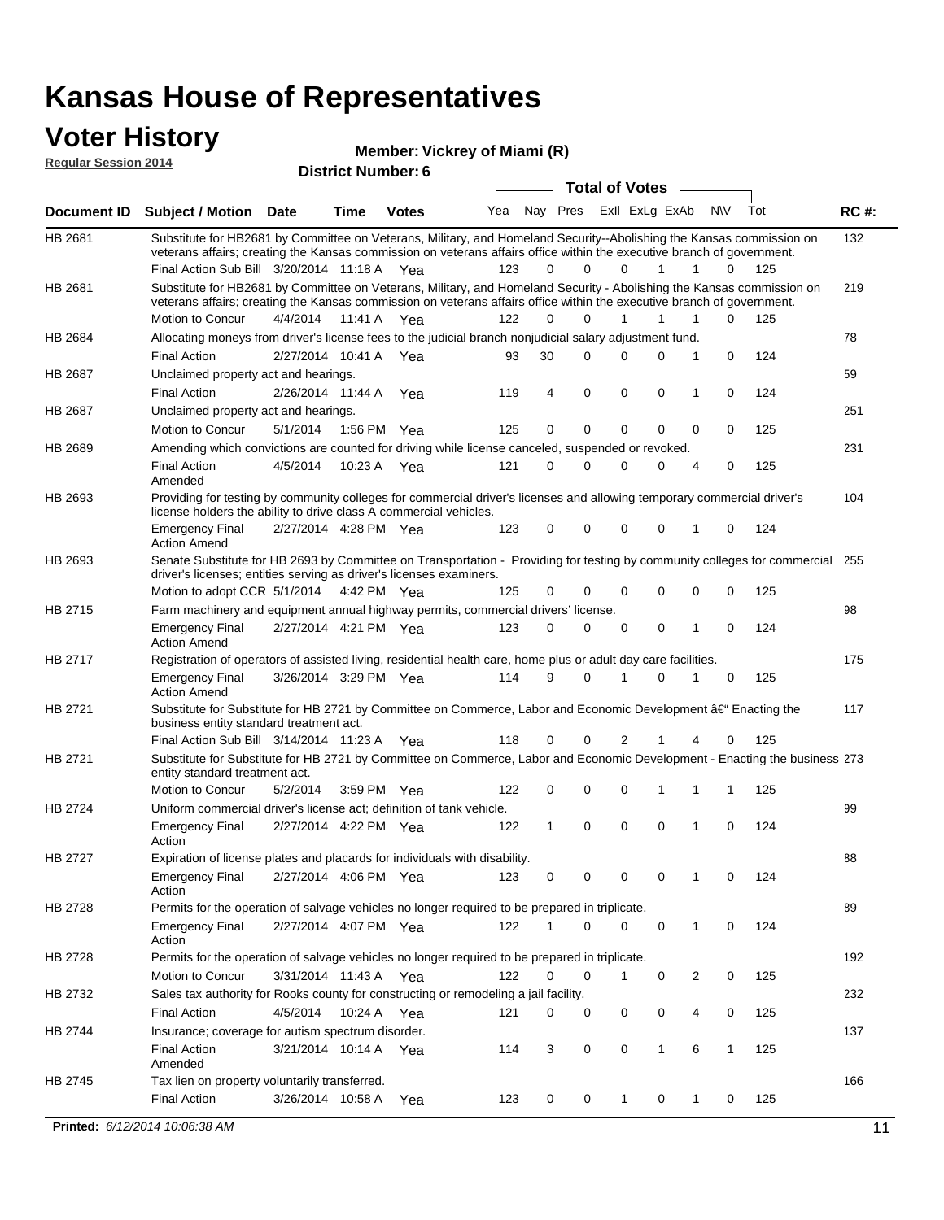#### **Voter History Regular Session 2014**

**Vickrey of Miami (R)**

| nuyurur Uuddivii 4017 |                                                                                                                                                                                                                                                 | <b>District Number: 6</b> |             | <b>Total of Votes</b> |     |              |          |  |             |                         |                |          |             |
|-----------------------|-------------------------------------------------------------------------------------------------------------------------------------------------------------------------------------------------------------------------------------------------|---------------------------|-------------|-----------------------|-----|--------------|----------|--|-------------|-------------------------|----------------|----------|-------------|
|                       |                                                                                                                                                                                                                                                 |                           |             |                       |     |              |          |  |             |                         |                |          |             |
| Document ID           | <b>Subject / Motion Date</b>                                                                                                                                                                                                                    |                           | <b>Time</b> | <b>Votes</b>          | Yea |              |          |  |             | Nay Pres Exll ExLg ExAb | <b>NV</b>      | Tot      | <b>RC#:</b> |
| HB 2681               | Substitute for HB2681 by Committee on Veterans, Military, and Homeland Security--Abolishing the Kansas commission on<br>veterans affairs; creating the Kansas commission on veterans affairs office within the executive branch of government.  |                           |             |                       |     |              |          |  |             |                         |                |          | 132         |
|                       | Final Action Sub Bill 3/20/2014 11:18 A Yea                                                                                                                                                                                                     |                           |             |                       | 123 | $\Omega$     | $\Omega$ |  | 0           | 1                       | 1              | 125<br>0 |             |
| HB 2681               | Substitute for HB2681 by Committee on Veterans, Military, and Homeland Security - Abolishing the Kansas commission on<br>veterans affairs; creating the Kansas commission on veterans affairs office within the executive branch of government. |                           |             |                       |     |              |          |  |             |                         |                |          | 219         |
|                       | Motion to Concur                                                                                                                                                                                                                                | 4/4/2014                  | 11:41 A     | Yea                   | 122 | $\Omega$     | 0        |  | 1           | $\mathbf{1}$            | 1              | 125<br>0 |             |
| HB 2684               | Allocating moneys from driver's license fees to the judicial branch nonjudicial salary adjustment fund.                                                                                                                                         |                           |             |                       |     |              |          |  |             |                         |                |          | 78          |
|                       | <b>Final Action</b>                                                                                                                                                                                                                             | 2/27/2014 10:41 A         |             | Yea                   | 93  | 30           | $\Omega$ |  | $\Omega$    | $\Omega$                | 1              | 124<br>0 |             |
| <b>HB 2687</b>        | Unclaimed property act and hearings.                                                                                                                                                                                                            |                           |             |                       |     |              |          |  |             |                         |                |          | 59          |
|                       | <b>Final Action</b>                                                                                                                                                                                                                             | 2/26/2014 11:44 A         |             | Yea                   | 119 | 4            | 0        |  | $\mathbf 0$ | 0                       | 1              | 124<br>0 |             |
| HB 2687               | Unclaimed property act and hearings.                                                                                                                                                                                                            |                           |             |                       |     |              |          |  |             |                         |                |          | 251         |
|                       | Motion to Concur                                                                                                                                                                                                                                | 5/1/2014                  |             | 1:56 PM Yea           | 125 | 0            | 0        |  | $\mathbf 0$ | 0                       | 0              | 125<br>0 |             |
| HB 2689               | Amending which convictions are counted for driving while license canceled, suspended or revoked.                                                                                                                                                |                           |             |                       |     |              |          |  |             |                         |                |          | 231         |
|                       | <b>Final Action</b><br>Amended                                                                                                                                                                                                                  | 4/5/2014                  | 10:23 A     | Yea                   | 121 | 0            | 0        |  | $\Omega$    | $\Omega$                | 4              | 125<br>0 |             |
| HB 2693               | Providing for testing by community colleges for commercial driver's licenses and allowing temporary commercial driver's<br>license holders the ability to drive class A commercial vehicles.                                                    |                           |             |                       |     |              |          |  |             |                         |                |          | 104         |
|                       | <b>Emergency Final</b><br><b>Action Amend</b>                                                                                                                                                                                                   | 2/27/2014 4:28 PM Yea     |             |                       | 123 | 0            | 0        |  | 0           | 0                       | $\mathbf{1}$   | 124<br>0 |             |
| HB 2693               | Senate Substitute for HB 2693 by Committee on Transportation - Providing for testing by community colleges for commercial 255<br>driver's licenses; entities serving as driver's licenses examiners.                                            |                           |             |                       |     |              |          |  |             |                         |                |          |             |
|                       | Motion to adopt CCR 5/1/2014                                                                                                                                                                                                                    |                           |             | 4:42 PM Yea           | 125 | 0            | 0        |  | 0           | 0                       | $\mathbf 0$    | 0<br>125 |             |
| <b>HB 2715</b>        | Farm machinery and equipment annual highway permits, commercial drivers' license.                                                                                                                                                               |                           |             |                       |     |              |          |  |             |                         |                |          | 98          |
|                       | <b>Emergency Final</b><br><b>Action Amend</b>                                                                                                                                                                                                   | 2/27/2014 4:21 PM Yea     |             |                       | 123 | 0            | 0        |  | 0           | 0                       | 1              | 124<br>0 |             |
| HB 2717               | Registration of operators of assisted living, residential health care, home plus or adult day care facilities.                                                                                                                                  |                           |             |                       |     |              |          |  |             |                         |                |          | 175         |
|                       | <b>Emergency Final</b><br><b>Action Amend</b>                                                                                                                                                                                                   | 3/26/2014 3:29 PM Yea     |             |                       | 114 | 9            | $\Omega$ |  | 1           | $\Omega$                | 1              | 125<br>0 |             |
| HB 2721               | Substitute for Substitute for HB 2721 by Committee on Commerce, Labor and Economic Development †Enacting the<br>business entity standard treatment act.                                                                                         |                           |             |                       |     |              |          |  |             |                         |                |          | 117         |
|                       | Final Action Sub Bill 3/14/2014 11:23 A Yea                                                                                                                                                                                                     |                           |             |                       | 118 | 0            | 0        |  | 2           |                         |                | 125<br>0 |             |
| HB 2721               | Substitute for Substitute for HB 2721 by Committee on Commerce, Labor and Economic Development - Enacting the business 273<br>entity standard treatment act.                                                                                    |                           |             |                       |     |              |          |  |             |                         |                |          |             |
|                       | Motion to Concur                                                                                                                                                                                                                                | 5/2/2014                  |             | 3:59 PM Yea           | 122 | 0            | 0        |  | 0           | 1                       | 1              | 125<br>1 |             |
| HB 2724               | Uniform commercial driver's license act; definition of tank vehicle.                                                                                                                                                                            |                           |             |                       |     |              |          |  |             |                         |                |          | 99          |
|                       | <b>Emergency Final</b><br>Action                                                                                                                                                                                                                | 2/27/2014 4:22 PM Yea     |             |                       | 122 | $\mathbf{1}$ | 0        |  | $\mathbf 0$ | 0                       | 1              | 124<br>0 |             |
| HB 2727               | Expiration of license plates and placards for individuals with disability.                                                                                                                                                                      |                           |             |                       |     |              |          |  |             |                         |                |          | 88          |
|                       | <b>Emergency Final</b><br>Action                                                                                                                                                                                                                | 2/27/2014 4:06 PM Yea     |             |                       | 123 | 0            | 0        |  | 0           | 0                       | 1              | 124<br>0 |             |
| HB 2728               | Permits for the operation of salvage vehicles no longer required to be prepared in triplicate.                                                                                                                                                  |                           |             |                       |     |              |          |  |             |                         |                |          | 89          |
|                       | <b>Emergency Final</b><br>Action                                                                                                                                                                                                                | 2/27/2014 4:07 PM Yea     |             |                       | 122 | 1            | 0        |  | 0           | $\mathbf 0$             | $\mathbf{1}$   | 0<br>124 |             |
| HB 2728               | Permits for the operation of salvage vehicles no longer required to be prepared in triplicate.                                                                                                                                                  |                           |             |                       |     |              |          |  |             |                         |                |          | 192         |
|                       | Motion to Concur                                                                                                                                                                                                                                | 3/31/2014 11:43 A Yea     |             |                       | 122 | 0            | 0        |  | 1           | 0                       | $\overline{2}$ | 125<br>0 |             |
| HB 2732               | Sales tax authority for Rooks county for constructing or remodeling a jail facility.                                                                                                                                                            |                           |             |                       |     |              |          |  |             |                         |                |          | 232         |
|                       | <b>Final Action</b>                                                                                                                                                                                                                             | 4/5/2014                  |             | 10:24 A Yea           | 121 | 0            | 0        |  | 0           | 0                       | 4              | 125<br>0 |             |
| HB 2744               | Insurance; coverage for autism spectrum disorder.                                                                                                                                                                                               |                           |             |                       |     |              |          |  |             |                         |                |          | 137         |
|                       | <b>Final Action</b><br>Amended                                                                                                                                                                                                                  | 3/21/2014 10:14 A Yea     |             |                       | 114 | 3            | 0        |  | 0           | $\mathbf{1}$            | 6              | 125<br>1 |             |
| HB 2745               | Tax lien on property voluntarily transferred.                                                                                                                                                                                                   |                           |             |                       |     |              |          |  |             |                         |                |          | 166         |
|                       | <b>Final Action</b>                                                                                                                                                                                                                             | 3/26/2014 10:58 A         |             | Yea                   | 123 | 0            | 0        |  | 1           | 0                       | 1              | 125<br>0 |             |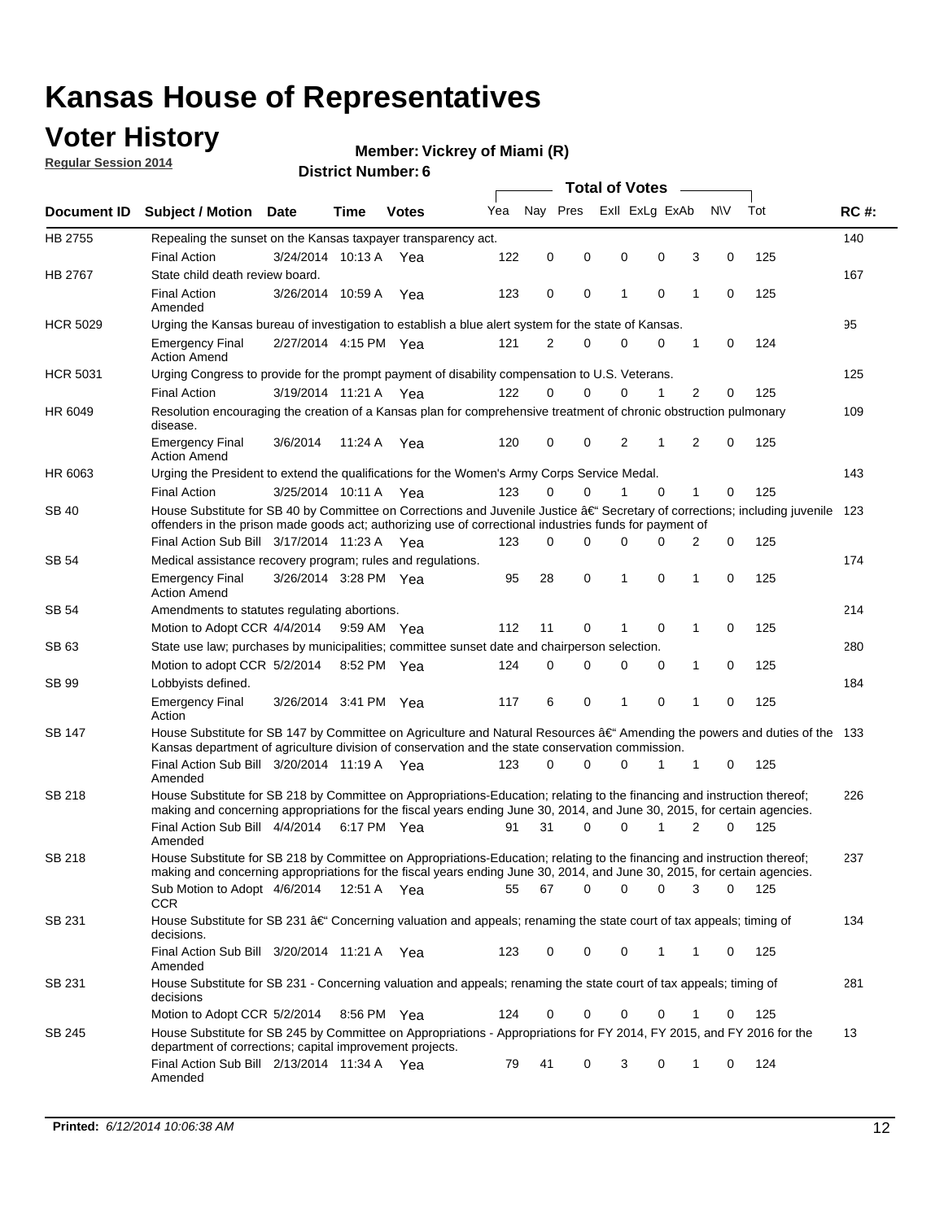### **Voter History**

**Regular Session 2014**

#### **Vickrey of Miami (R)**

|                 |                                                                                                                                                                                                                                                      |                       |             |              |     |          |          | <b>Total of Votes</b> |             |   |           |       |             |
|-----------------|------------------------------------------------------------------------------------------------------------------------------------------------------------------------------------------------------------------------------------------------------|-----------------------|-------------|--------------|-----|----------|----------|-----------------------|-------------|---|-----------|-------|-------------|
|                 | Document ID Subject / Motion Date                                                                                                                                                                                                                    |                       | Time        | <b>Votes</b> | Yea | Nav Pres |          | Exll ExLg ExAb        |             |   | <b>NV</b> | Tot   | <b>RC#:</b> |
| HB 2755         | Repealing the sunset on the Kansas taxpayer transparency act.                                                                                                                                                                                        |                       |             |              |     |          |          |                       |             |   |           |       | 140         |
|                 | <b>Final Action</b>                                                                                                                                                                                                                                  | 3/24/2014 10:13 A     |             | Yea          | 122 | 0        | 0        | 0                     | 0           | 3 | 0         | 125   |             |
| HB 2767         | State child death review board.                                                                                                                                                                                                                      |                       |             |              |     |          |          |                       |             |   |           |       | 167         |
|                 | <b>Final Action</b><br>Amended                                                                                                                                                                                                                       | 3/26/2014 10:59 A     |             | Yea          | 123 | 0        | 0        | 1                     | 0           | 1 | 0         | 125   |             |
| <b>HCR 5029</b> | Urging the Kansas bureau of investigation to establish a blue alert system for the state of Kansas.                                                                                                                                                  |                       |             |              |     |          |          |                       |             |   |           |       | 95          |
|                 | <b>Emergency Final</b><br><b>Action Amend</b>                                                                                                                                                                                                        | 2/27/2014 4:15 PM Yea |             |              | 121 | 2        | 0        | 0                     | 0           | 1 | 0         | 124   |             |
| <b>HCR 5031</b> | Urging Congress to provide for the prompt payment of disability compensation to U.S. Veterans.                                                                                                                                                       |                       |             |              |     |          |          |                       |             |   |           |       | 125         |
|                 | <b>Final Action</b>                                                                                                                                                                                                                                  | 3/19/2014 11:21 A Yea |             |              | 122 | $\Omega$ | 0        | 0                     | 1           | 2 | 0         | 125   |             |
| HR 6049         | Resolution encouraging the creation of a Kansas plan for comprehensive treatment of chronic obstruction pulmonary<br>disease.                                                                                                                        |                       |             |              |     |          |          |                       |             |   |           |       | 109         |
|                 | <b>Emergency Final</b><br><b>Action Amend</b>                                                                                                                                                                                                        | 3/6/2014              | 11:24 A     | Yea          | 120 | 0        | 0        | 2                     | 1           | 2 | 0         | 125   |             |
| HR 6063         | Urging the President to extend the qualifications for the Women's Army Corps Service Medal.                                                                                                                                                          |                       |             |              |     |          |          |                       |             |   |           |       | 143         |
|                 | <b>Final Action</b>                                                                                                                                                                                                                                  | 3/25/2014 10:11 A Yea |             |              | 123 | $\Omega$ | 0        | 1                     | $\Omega$    | 1 | 0         | 125   |             |
| SB 40           | House Substitute for SB 40 by Committee on Corrections and Juvenile Justice †Secretary of corrections; including juvenile<br>offenders in the prison made goods act; authorizing use of correctional industries funds for payment of                 |                       |             |              |     |          |          |                       |             |   |           |       | 123         |
|                 | Final Action Sub Bill 3/17/2014 11:23 A Yea                                                                                                                                                                                                          |                       |             |              | 123 | 0        | 0        | 0                     | O           | 2 | 0         | 125   |             |
| SB 54           | Medical assistance recovery program; rules and regulations.                                                                                                                                                                                          |                       |             |              |     |          |          |                       |             |   |           |       | 174         |
|                 | <b>Emergency Final</b><br><b>Action Amend</b>                                                                                                                                                                                                        | 3/26/2014 3:28 PM Yea |             |              | 95  | 28       | 0        | 1                     | $\mathbf 0$ | 1 | 0         | 125   |             |
| <b>SB 54</b>    | Amendments to statutes regulating abortions.                                                                                                                                                                                                         |                       |             |              |     |          |          |                       |             |   |           |       | 214         |
|                 | Motion to Adopt CCR 4/4/2014 9:59 AM Yea                                                                                                                                                                                                             |                       |             |              | 112 | 11       | 0        |                       | $\mathbf 0$ | 1 | 0         | 125   |             |
| SB 63           | State use law; purchases by municipalities; committee sunset date and chairperson selection.                                                                                                                                                         |                       |             |              |     |          |          |                       |             |   |           |       | 280         |
|                 | Motion to adopt CCR 5/2/2014                                                                                                                                                                                                                         |                       | 8:52 PM Yea |              | 124 | 0        | 0        | 0                     | 0           | 1 | 0         | 125   |             |
| SB 99           | Lobbyists defined.                                                                                                                                                                                                                                   |                       |             |              |     |          |          |                       |             |   |           |       | 184         |
|                 | <b>Emergency Final</b><br>Action                                                                                                                                                                                                                     | 3/26/2014 3:41 PM Yea |             |              | 117 | 6        | 0        | 1                     | $\mathbf 0$ | 1 | 0         | 125   |             |
| SB 147          | House Substitute for SB 147 by Committee on Agriculture and Natural Resources †Amending the powers and duties of the 133<br>Kansas department of agriculture division of conservation and the state conservation commission.                         |                       |             |              |     |          |          |                       |             |   |           |       |             |
|                 | Final Action Sub Bill 3/20/2014 11:19 A Yea<br>Amended                                                                                                                                                                                               |                       |             |              | 123 | 0        | 0        | 0                     | 1           | 1 | 0         | 125   |             |
| SB 218          | House Substitute for SB 218 by Committee on Appropriations-Education; relating to the financing and instruction thereof;<br>making and concerning appropriations for the fiscal years ending June 30, 2014, and June 30, 2015, for certain agencies. |                       |             |              |     |          |          |                       |             |   |           |       | 226         |
|                 | Final Action Sub Bill 4/4/2014<br>Amended                                                                                                                                                                                                            |                       | 6:17 PM Yea |              | 91  | 31       | $\Omega$ | 0                     | 1           | 2 | $\Omega$  | 125   |             |
| SB 218          | House Substitute for SB 218 by Committee on Appropriations-Education; relating to the financing and instruction thereof;                                                                                                                             |                       |             |              |     |          |          |                       |             |   |           |       | 237         |
|                 | making and concerning appropriations for the fiscal years ending June 30, 2014, and June 30, 2015, for certain agencies.<br>Sub Motion to Adopt 4/6/2014 12:51 A Yea<br>CCR                                                                          |                       |             |              | 55  | 67       | 0        | 0                     | 0           | 3 | 0         | - 125 |             |
| SB 231          | House Substitute for SB 231 †Concerning valuation and appeals; renaming the state court of tax appeals; timing of<br>decisions.                                                                                                                      |                       |             |              |     |          |          |                       |             |   |           |       | 134         |
|                 | Final Action Sub Bill 3/20/2014 11:21 A Yea<br>Amended                                                                                                                                                                                               |                       |             |              | 123 | 0        | 0        | 0                     | 1           | 1 | 0         | 125   |             |
| SB 231          | House Substitute for SB 231 - Concerning valuation and appeals; renaming the state court of tax appeals; timing of<br>decisions                                                                                                                      |                       |             |              |     |          |          |                       |             |   |           |       | 281         |
|                 | Motion to Adopt CCR 5/2/2014                                                                                                                                                                                                                         |                       | 8:56 PM Yea |              | 124 | 0        | 0        | 0                     | 0           | 1 | 0         | 125   |             |
| SB 245          | House Substitute for SB 245 by Committee on Appropriations - Appropriations for FY 2014, FY 2015, and FY 2016 for the<br>department of corrections; capital improvement projects.                                                                    |                       |             |              |     |          |          |                       |             |   |           |       | 13          |
|                 | Final Action Sub Bill 2/13/2014 11:34 A Yea<br>Amended                                                                                                                                                                                               |                       |             |              | 79  | 41       | 0        | 3                     | 0           | 1 | 0         | 124   |             |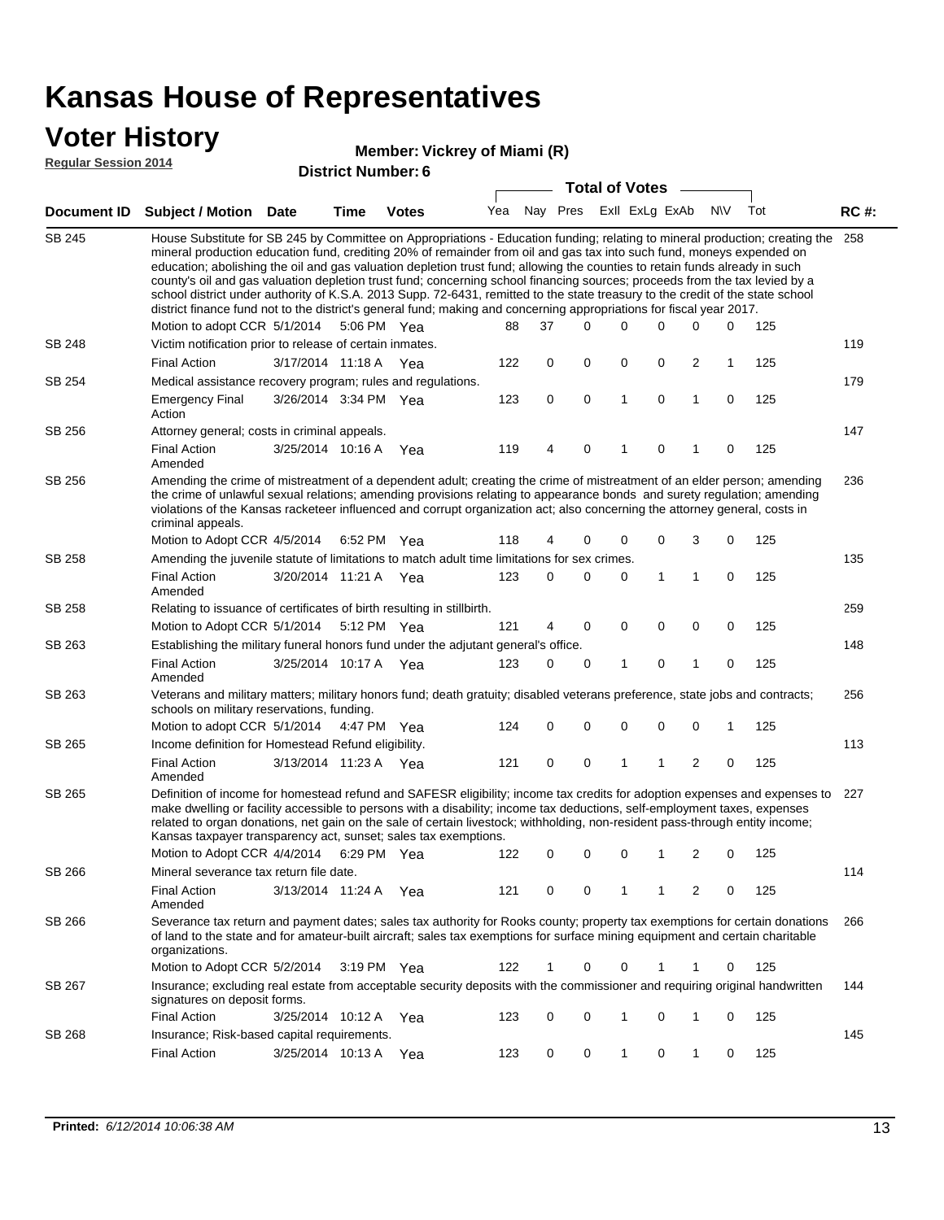# **Voter History**<br> **Regular Session 2014**

**Vickrey of Miami (R)**

|  |  | <b>Regular Session 2014</b> |  |  |
|--|--|-----------------------------|--|--|
|--|--|-----------------------------|--|--|

|               | Document ID Subject / Motion Date                                                                                                                                                                                                                                                                                                                                                                                                                                                                                                                                                                                                                                                                                                                                             |                       | Time | <b>Votes</b> | Yea |             | Nay Pres ExII ExLg ExAb |   |             |              | <b>NV</b>   | Tot | <b>RC#:</b> |
|---------------|-------------------------------------------------------------------------------------------------------------------------------------------------------------------------------------------------------------------------------------------------------------------------------------------------------------------------------------------------------------------------------------------------------------------------------------------------------------------------------------------------------------------------------------------------------------------------------------------------------------------------------------------------------------------------------------------------------------------------------------------------------------------------------|-----------------------|------|--------------|-----|-------------|-------------------------|---|-------------|--------------|-------------|-----|-------------|
| <b>SB 245</b> | House Substitute for SB 245 by Committee on Appropriations - Education funding; relating to mineral production; creating the<br>mineral production education fund, crediting 20% of remainder from oil and gas tax into such fund, moneys expended on<br>education; abolishing the oil and gas valuation depletion trust fund; allowing the counties to retain funds already in such<br>county's oil and gas valuation depletion trust fund; concerning school financing sources; proceeds from the tax levied by a<br>school district under authority of K.S.A. 2013 Supp. 72-6431, remitted to the state treasury to the credit of the state school<br>district finance fund not to the district's general fund; making and concerning appropriations for fiscal year 2017. |                       |      |              |     |             |                         |   |             |              |             |     | 258         |
|               | Motion to adopt CCR 5/1/2014                                                                                                                                                                                                                                                                                                                                                                                                                                                                                                                                                                                                                                                                                                                                                  |                       |      | 5:06 PM Yea  | 88  | 37          | $\Omega$                | 0 | $\Omega$    | $\Omega$     | 0           | 125 |             |
| SB 248        | Victim notification prior to release of certain inmates.                                                                                                                                                                                                                                                                                                                                                                                                                                                                                                                                                                                                                                                                                                                      |                       |      |              |     |             |                         |   |             |              |             |     | 119         |
|               | <b>Final Action</b>                                                                                                                                                                                                                                                                                                                                                                                                                                                                                                                                                                                                                                                                                                                                                           | 3/17/2014 11:18 A     |      | Yea          | 122 | 0           | 0                       | 0 | 0           | 2            | 1           | 125 |             |
| SB 254        | Medical assistance recovery program; rules and regulations.                                                                                                                                                                                                                                                                                                                                                                                                                                                                                                                                                                                                                                                                                                                   |                       |      |              |     |             |                         |   |             |              |             |     | 179         |
|               | <b>Emergency Final</b><br>Action                                                                                                                                                                                                                                                                                                                                                                                                                                                                                                                                                                                                                                                                                                                                              | 3/26/2014 3:34 PM Yea |      |              | 123 | $\mathbf 0$ | $\mathbf 0$             | 1 | $\mathbf 0$ | $\mathbf{1}$ | $\mathbf 0$ | 125 |             |
| SB 256        | Attorney general; costs in criminal appeals.                                                                                                                                                                                                                                                                                                                                                                                                                                                                                                                                                                                                                                                                                                                                  |                       |      |              |     |             |                         |   |             |              |             |     | 147         |
|               | <b>Final Action</b><br>Amended                                                                                                                                                                                                                                                                                                                                                                                                                                                                                                                                                                                                                                                                                                                                                | 3/25/2014 10:16 A     |      | Yea          | 119 | 4           | $\mathbf 0$             | 1 | 0           |              | 0           | 125 |             |
| SB 256        | Amending the crime of mistreatment of a dependent adult; creating the crime of mistreatment of an elder person; amending<br>the crime of unlawful sexual relations; amending provisions relating to appearance bonds and surety regulation; amending<br>violations of the Kansas racketeer influenced and corrupt organization act; also concerning the attorney general, costs in<br>criminal appeals.                                                                                                                                                                                                                                                                                                                                                                       |                       |      |              |     |             |                         |   |             |              |             |     | 236         |
|               | Motion to Adopt CCR 4/5/2014                                                                                                                                                                                                                                                                                                                                                                                                                                                                                                                                                                                                                                                                                                                                                  |                       |      | 6:52 PM Yea  | 118 | 4           | $\Omega$                | 0 | 0           | 3            | $\mathbf 0$ | 125 |             |
| SB 258        | Amending the juvenile statute of limitations to match adult time limitations for sex crimes.                                                                                                                                                                                                                                                                                                                                                                                                                                                                                                                                                                                                                                                                                  |                       |      |              |     |             |                         |   |             |              |             |     | 135         |
|               | <b>Final Action</b><br>Amended                                                                                                                                                                                                                                                                                                                                                                                                                                                                                                                                                                                                                                                                                                                                                | 3/20/2014 11:21 A Yea |      |              | 123 | 0           | 0                       | 0 | 1           | $\mathbf{1}$ | $\mathbf 0$ | 125 |             |
| SB 258        | Relating to issuance of certificates of birth resulting in stillbirth.                                                                                                                                                                                                                                                                                                                                                                                                                                                                                                                                                                                                                                                                                                        |                       |      |              |     |             |                         |   |             |              |             |     | 259         |
|               | Motion to Adopt CCR 5/1/2014                                                                                                                                                                                                                                                                                                                                                                                                                                                                                                                                                                                                                                                                                                                                                  |                       |      | 5:12 PM Yea  | 121 | 4           | 0                       | 0 | $\mathbf 0$ | 0            | 0           | 125 |             |
| SB 263        | Establishing the military funeral honors fund under the adjutant general's office.                                                                                                                                                                                                                                                                                                                                                                                                                                                                                                                                                                                                                                                                                            |                       |      |              |     |             |                         |   |             |              |             |     | 148         |
|               | <b>Final Action</b><br>Amended                                                                                                                                                                                                                                                                                                                                                                                                                                                                                                                                                                                                                                                                                                                                                | 3/25/2014 10:17 A Yea |      |              | 123 | 0           | 0                       | 1 | 0           | 1            | 0           | 125 |             |
| SB 263        | Veterans and military matters; military honors fund; death gratuity; disabled veterans preference, state jobs and contracts;<br>schools on military reservations, funding.                                                                                                                                                                                                                                                                                                                                                                                                                                                                                                                                                                                                    |                       |      |              |     |             |                         |   |             |              |             |     | 256         |
|               | Motion to adopt CCR 5/1/2014                                                                                                                                                                                                                                                                                                                                                                                                                                                                                                                                                                                                                                                                                                                                                  |                       |      | 4:47 PM Yea  | 124 | 0           | $\mathbf 0$             | 0 | 0           | 0            | 1           | 125 |             |
| SB 265        | Income definition for Homestead Refund eligibility.                                                                                                                                                                                                                                                                                                                                                                                                                                                                                                                                                                                                                                                                                                                           |                       |      |              |     |             |                         |   |             |              |             |     | 113         |
|               | <b>Final Action</b><br>Amended                                                                                                                                                                                                                                                                                                                                                                                                                                                                                                                                                                                                                                                                                                                                                | 3/13/2014 11:23 A Yea |      |              | 121 | 0           | 0                       | 1 | 1           | 2            | $\mathbf 0$ | 125 |             |
| SB 265        | Definition of income for homestead refund and SAFESR eligibility; income tax credits for adoption expenses and expenses to<br>make dwelling or facility accessible to persons with a disability; income tax deductions, self-employment taxes, expenses<br>related to organ donations, net gain on the sale of certain livestock; withholding, non-resident pass-through entity income;<br>Kansas taxpayer transparency act, sunset; sales tax exemptions.                                                                                                                                                                                                                                                                                                                    |                       |      |              |     |             |                         |   |             |              |             |     | 227         |
|               | Motion to Adopt CCR 4/4/2014 6:29 PM Yea                                                                                                                                                                                                                                                                                                                                                                                                                                                                                                                                                                                                                                                                                                                                      |                       |      |              | 122 | 0           | $\mathbf 0$             | 0 | 1           | 2            | 0           | 125 |             |
| SB 266        | Mineral severance tax return file date.                                                                                                                                                                                                                                                                                                                                                                                                                                                                                                                                                                                                                                                                                                                                       |                       |      |              |     |             |                         |   |             |              |             |     | 114         |
|               | <b>Final Action</b><br>Amended                                                                                                                                                                                                                                                                                                                                                                                                                                                                                                                                                                                                                                                                                                                                                | 3/13/2014 11:24 A Yea |      |              | 121 | 0           | 0                       | 1 | 1           | 2            | 0           | 125 |             |
| SB 266        | Severance tax return and payment dates; sales tax authority for Rooks county; property tax exemptions for certain donations<br>of land to the state and for amateur-built aircraft; sales tax exemptions for surface mining equipment and certain charitable<br>organizations.                                                                                                                                                                                                                                                                                                                                                                                                                                                                                                |                       |      |              |     |             |                         |   |             |              |             |     | 266         |
|               | Motion to Adopt CCR 5/2/2014                                                                                                                                                                                                                                                                                                                                                                                                                                                                                                                                                                                                                                                                                                                                                  |                       |      | 3:19 PM Yea  | 122 | 1           | 0                       | 0 | 1           | 1            | 0           | 125 |             |
| SB 267        | Insurance; excluding real estate from acceptable security deposits with the commissioner and requiring original handwritten<br>signatures on deposit forms.                                                                                                                                                                                                                                                                                                                                                                                                                                                                                                                                                                                                                   |                       |      |              |     |             |                         |   |             |              |             |     | 144         |
|               | <b>Final Action</b>                                                                                                                                                                                                                                                                                                                                                                                                                                                                                                                                                                                                                                                                                                                                                           | 3/25/2014 10:12 A Yea |      |              | 123 | 0           | 0                       | 1 | 0           | 1            | 0           | 125 |             |
| SB 268        | Insurance: Risk-based capital requirements.                                                                                                                                                                                                                                                                                                                                                                                                                                                                                                                                                                                                                                                                                                                                   |                       |      |              |     |             |                         |   |             |              |             |     | 145         |
|               | <b>Final Action</b>                                                                                                                                                                                                                                                                                                                                                                                                                                                                                                                                                                                                                                                                                                                                                           | 3/25/2014 10:13 A Yea |      |              | 123 | 0           | 0                       | 1 | 0           | 1            | 0           | 125 |             |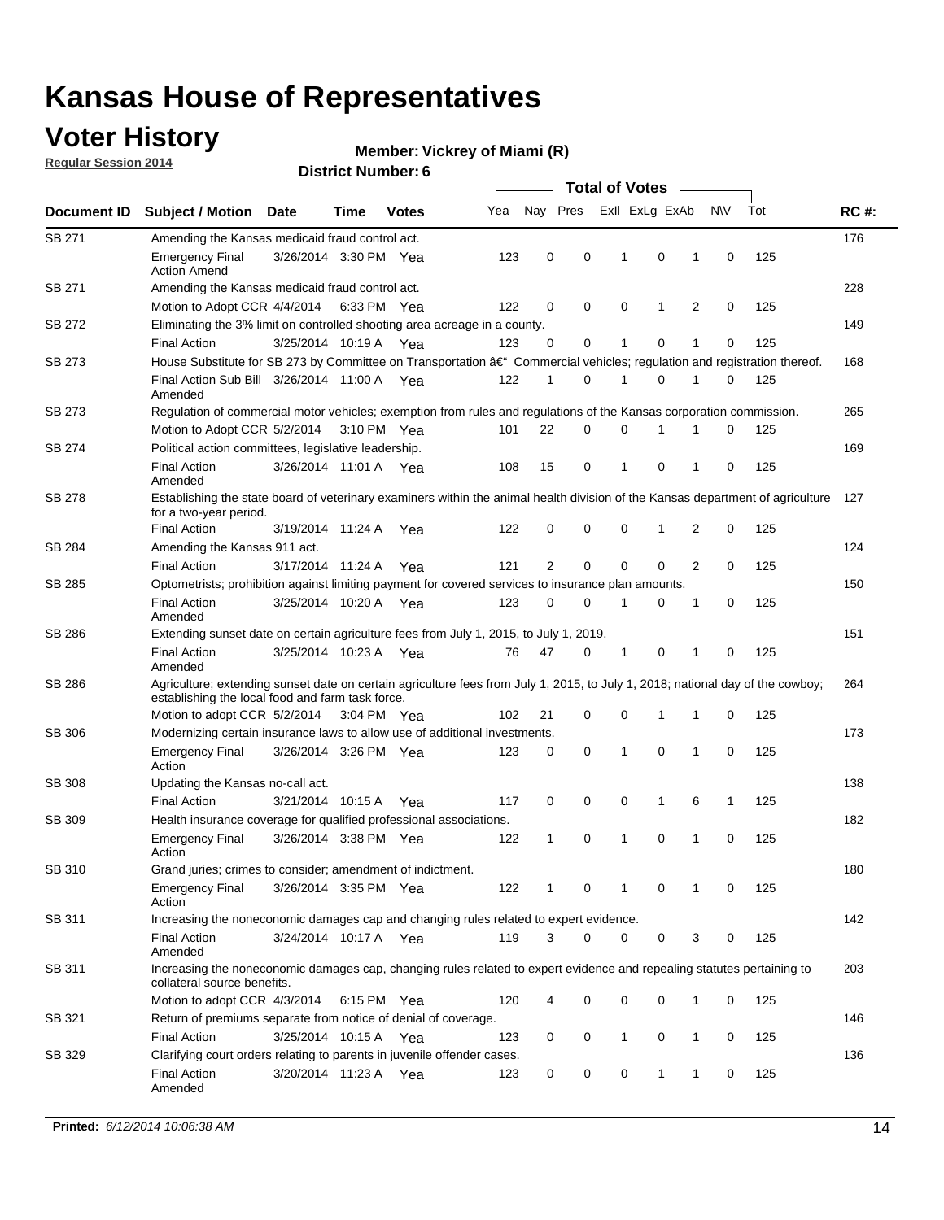### **Voter History**

**Regular Session 2014**

#### **Vickrey of Miami (R)**

|                    |                                                                                                                                                                                    |                       |      |              |     |                |          | <b>Total of Votes</b> |              |                |             |     |             |
|--------------------|------------------------------------------------------------------------------------------------------------------------------------------------------------------------------------|-----------------------|------|--------------|-----|----------------|----------|-----------------------|--------------|----------------|-------------|-----|-------------|
| <b>Document ID</b> | <b>Subject / Motion</b>                                                                                                                                                            | Date                  | Time | <b>Votes</b> | Yea | Nay Pres       |          | Exll ExLg ExAb        |              |                | <b>NV</b>   | Tot | <b>RC#:</b> |
| SB 271             | Amending the Kansas medicaid fraud control act.                                                                                                                                    |                       |      |              |     |                |          |                       |              |                |             |     | 176         |
|                    | <b>Emergency Final</b><br><b>Action Amend</b>                                                                                                                                      | 3/26/2014 3:30 PM Yea |      |              | 123 | 0              | 0        | 1                     | 0            | 1              | 0           | 125 |             |
| SB 271             | Amending the Kansas medicaid fraud control act.                                                                                                                                    |                       |      |              |     |                |          |                       |              |                |             |     | 228         |
|                    | Motion to Adopt CCR 4/4/2014 6:33 PM Yea                                                                                                                                           |                       |      |              | 122 | 0              | 0        | 0                     | $\mathbf{1}$ | 2              | 0           | 125 |             |
| SB 272             | Eliminating the 3% limit on controlled shooting area acreage in a county.                                                                                                          |                       |      |              |     |                |          |                       |              |                |             |     | 149         |
|                    | <b>Final Action</b>                                                                                                                                                                | 3/25/2014 10:19 A Yea |      |              | 123 | 0              | 0        | 1                     | 0            | 1              | $\mathbf 0$ | 125 |             |
| SB 273             | House Substitute for SB 273 by Committee on Transportation †Commercial vehicles; regulation and registration thereof.                                                              |                       |      |              |     |                |          |                       |              |                |             |     | 168         |
|                    | Final Action Sub Bill 3/26/2014 11:00 A Yea<br>Amended                                                                                                                             |                       |      |              | 122 | 1              | 0        | 1                     | 0            | 1              | 0           | 125 |             |
| SB 273             | Regulation of commercial motor vehicles; exemption from rules and regulations of the Kansas corporation commission.                                                                |                       |      |              |     |                |          |                       |              |                |             |     | 265         |
|                    | Motion to Adopt CCR 5/2/2014 3:10 PM Yea                                                                                                                                           |                       |      |              | 101 | 22             | 0        | 0                     | 1            |                | 0           | 125 |             |
| SB 274             | Political action committees, legislative leadership.                                                                                                                               |                       |      |              |     |                |          |                       |              |                |             |     | 169         |
|                    | <b>Final Action</b><br>Amended                                                                                                                                                     | 3/26/2014 11:01 A Yea |      |              | 108 | 15             | 0        | 1                     | 0            | 1              | 0           | 125 |             |
| <b>SB 278</b>      | Establishing the state board of veterinary examiners within the animal health division of the Kansas department of agriculture<br>for a two-year period.                           |                       |      |              |     |                |          |                       |              |                |             |     | 127         |
|                    | <b>Final Action</b>                                                                                                                                                                | 3/19/2014 11:24 A     |      | Yea          | 122 | 0              | 0        | 0                     | 1            | 2              | 0           | 125 |             |
| SB 284             | Amending the Kansas 911 act.                                                                                                                                                       |                       |      |              |     |                |          |                       |              |                |             |     | 124         |
|                    | <b>Final Action</b>                                                                                                                                                                | 3/17/2014 11:24 A     |      | Yea          | 121 | $\overline{2}$ | 0        | $\mathbf 0$           | $\mathbf 0$  | $\overline{2}$ | 0           | 125 |             |
| SB 285             | Optometrists; prohibition against limiting payment for covered services to insurance plan amounts.                                                                                 |                       |      |              |     |                |          |                       |              |                |             |     | 150         |
|                    | <b>Final Action</b><br>Amended                                                                                                                                                     | 3/25/2014 10:20 A Yea |      |              | 123 | 0              | 0        | 1                     | 0            | $\mathbf{1}$   | 0           | 125 |             |
| SB 286             | Extending sunset date on certain agriculture fees from July 1, 2015, to July 1, 2019.                                                                                              |                       |      |              |     |                |          |                       |              |                |             |     | 151         |
|                    | <b>Final Action</b><br>Amended                                                                                                                                                     | 3/25/2014 10:23 A Yea |      |              | 76  | 47             | 0        | 1                     | 0            | 1              | 0           | 125 |             |
| SB 286             | Agriculture; extending sunset date on certain agriculture fees from July 1, 2015, to July 1, 2018; national day of the cowboy;<br>establishing the local food and farm task force. |                       |      |              |     |                |          |                       |              |                |             |     | 264         |
|                    | Motion to adopt CCR 5/2/2014 3:04 PM Yea                                                                                                                                           |                       |      |              | 102 | 21             | 0        | 0                     | 1            | 1              | 0           | 125 |             |
| SB 306             | Modernizing certain insurance laws to allow use of additional investments.                                                                                                         |                       |      |              |     |                |          |                       |              |                |             |     | 173         |
|                    | <b>Emergency Final</b><br>Action                                                                                                                                                   | 3/26/2014 3:26 PM Yea |      |              | 123 | 0              | 0        | 1                     | 0            | 1              | $\mathbf 0$ | 125 |             |
| <b>SB 308</b>      | Updating the Kansas no-call act.                                                                                                                                                   |                       |      |              |     |                |          |                       |              |                |             |     | 138         |
|                    | <b>Final Action</b>                                                                                                                                                                | 3/21/2014 10:15 A     |      | Yea          | 117 | 0              | 0        | 0                     | $\mathbf{1}$ | 6              | 1           | 125 |             |
| SB 309             | Health insurance coverage for qualified professional associations.                                                                                                                 |                       |      |              |     |                |          |                       |              |                |             |     | 182         |
|                    | <b>Emergency Final</b><br>Action                                                                                                                                                   | 3/26/2014 3:38 PM Yea |      |              | 122 | 1              | 0        | 1                     | 0            | 1              | $\mathbf 0$ | 125 |             |
| SB 310             | Grand juries; crimes to consider; amendment of indictment.                                                                                                                         |                       |      |              |     |                |          |                       |              |                |             |     | 180         |
|                    | <b>Emergency Final</b><br>Action                                                                                                                                                   | 3/26/2014 3:35 PM Yea |      |              | 122 |                | 0        |                       | 0            | 1              | 0           | 125 |             |
| SB 311             | Increasing the noneconomic damages cap and changing rules related to expert evidence.                                                                                              |                       |      |              |     |                |          |                       |              |                |             |     | 142         |
|                    | <b>Final Action</b><br>Amended                                                                                                                                                     | 3/24/2014 10:17 A Yea |      |              | 119 | 3              | $\Omega$ | 0                     | 0            | 3              | 0           | 125 |             |
| SB 311             | Increasing the noneconomic damages cap, changing rules related to expert evidence and repealing statutes pertaining to<br>collateral source benefits.                              |                       |      |              |     |                |          |                       |              |                |             |     | 203         |
|                    | Motion to adopt CCR 4/3/2014 6:15 PM Yea                                                                                                                                           |                       |      |              | 120 | 4              | 0        | 0                     | 0            | 1              | 0           | 125 |             |
| SB 321             | Return of premiums separate from notice of denial of coverage.                                                                                                                     |                       |      |              |     |                |          |                       |              |                |             |     | 146         |
|                    | <b>Final Action</b>                                                                                                                                                                | 3/25/2014 10:15 A Yea |      |              | 123 | 0              | 0        | 1                     | 0            | 1              | 0           | 125 |             |
| SB 329             | Clarifying court orders relating to parents in juvenile offender cases.<br><b>Final Action</b><br>Amended                                                                          | 3/20/2014 11:23 A Yea |      |              | 123 | 0              | 0        | 0                     | 1            | $\mathbf{1}$   | 0           | 125 | 136         |
|                    |                                                                                                                                                                                    |                       |      |              |     |                |          |                       |              |                |             |     |             |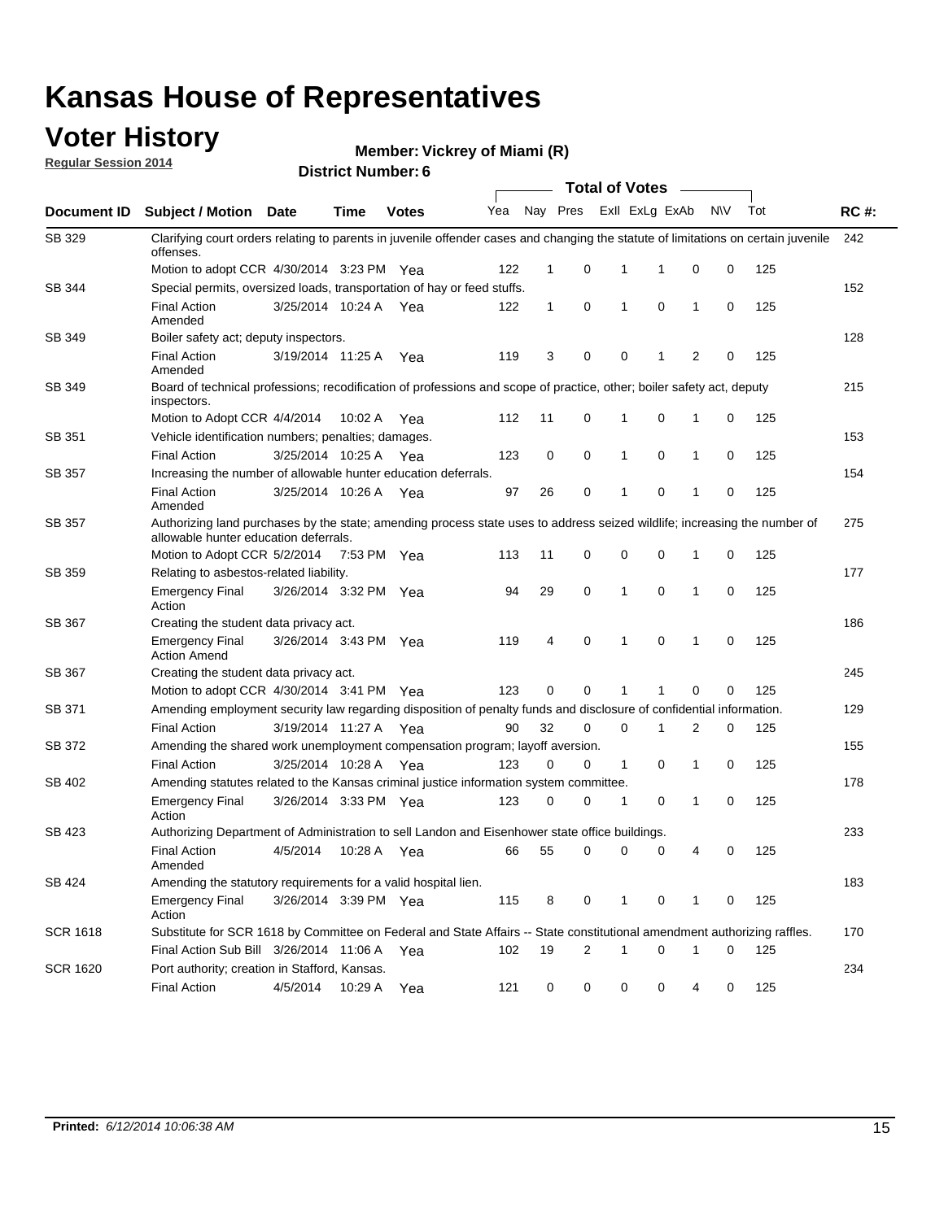#### **Voter History**

**Regular Session 2014**

**Vickrey of Miami (R)**

|                 |                                                                                                                                                                    |                       |             |              |     |              |          |              | <b>Total of Votes</b> |              |           |     |             |
|-----------------|--------------------------------------------------------------------------------------------------------------------------------------------------------------------|-----------------------|-------------|--------------|-----|--------------|----------|--------------|-----------------------|--------------|-----------|-----|-------------|
|                 | Document ID Subject / Motion Date                                                                                                                                  |                       | Time        | <b>Votes</b> | Yea |              | Nay Pres |              | Exll ExLg ExAb        |              | <b>NV</b> | Tot | <b>RC#:</b> |
| SB 329          | Clarifying court orders relating to parents in juvenile offender cases and changing the statute of limitations on certain juvenile<br>offenses.                    |                       |             |              |     |              |          |              |                       |              |           |     | 242         |
|                 | Motion to adopt CCR 4/30/2014 3:23 PM Yea                                                                                                                          |                       |             |              | 122 | $\mathbf 1$  | 0        | 1            | -1                    | 0            | 0         | 125 |             |
| SB 344          | Special permits, oversized loads, transportation of hay or feed stuffs.                                                                                            |                       |             |              |     |              |          |              |                       |              |           |     | 152         |
|                 | <b>Final Action</b><br>Amended                                                                                                                                     | 3/25/2014 10:24 A     |             | Yea          | 122 | $\mathbf{1}$ | 0        | $\mathbf{1}$ | 0                     | $\mathbf{1}$ | 0         | 125 |             |
| <b>SB 349</b>   | Boiler safety act; deputy inspectors.                                                                                                                              |                       |             |              |     |              |          |              |                       |              |           |     | 128         |
|                 | <b>Final Action</b><br>Amended                                                                                                                                     | 3/19/2014 11:25 A     |             | Yea          | 119 | 3            | 0        | 0            | 1                     | 2            | 0         | 125 |             |
| SB 349          | Board of technical professions; recodification of professions and scope of practice, other; boiler safety act, deputy<br>inspectors.                               |                       |             |              |     |              |          |              |                       |              |           |     | 215         |
|                 | Motion to Adopt CCR 4/4/2014                                                                                                                                       |                       | 10:02 A     | Yea          | 112 | 11           | 0        | 1            | 0                     | 1            | 0         | 125 |             |
| SB 351          | Vehicle identification numbers; penalties; damages.                                                                                                                |                       |             |              |     |              |          |              |                       |              |           |     | 153         |
|                 | <b>Final Action</b>                                                                                                                                                | 3/25/2014 10:25 A     |             | Yea          | 123 | 0            | 0        | 1            | 0                     | 1            | 0         | 125 |             |
| SB 357          | Increasing the number of allowable hunter education deferrals.                                                                                                     |                       |             |              |     |              |          |              |                       |              |           |     | 154         |
|                 | <b>Final Action</b><br>Amended                                                                                                                                     | 3/25/2014 10:26 A     |             | Yea          | 97  | 26           | 0        | $\mathbf{1}$ | 0                     | 1            | 0         | 125 |             |
| SB 357          | Authorizing land purchases by the state; amending process state uses to address seized wildlife; increasing the number of<br>allowable hunter education deferrals. |                       |             |              |     |              |          |              |                       |              |           |     | 275         |
|                 | Motion to Adopt CCR 5/2/2014                                                                                                                                       |                       | 7:53 PM Yea |              | 113 | 11           | 0        | 0            | $\mathbf 0$           | 1            | 0         | 125 |             |
| SB 359          | Relating to asbestos-related liability.                                                                                                                            |                       |             |              |     |              |          |              |                       |              |           |     | 177         |
|                 | <b>Emergency Final</b><br>Action                                                                                                                                   | 3/26/2014 3:32 PM Yea |             |              | 94  | 29           | 0        | 1            | $\Omega$              | 1            | 0         | 125 |             |
| <b>SB 367</b>   | Creating the student data privacy act.                                                                                                                             |                       |             |              |     |              |          |              |                       |              |           |     | 186         |
|                 | <b>Emergency Final</b><br><b>Action Amend</b>                                                                                                                      | 3/26/2014 3:43 PM Yea |             |              | 119 | 4            | 0        | $\mathbf{1}$ | 0                     | 1            | 0         | 125 |             |
| SB 367          | Creating the student data privacy act.                                                                                                                             |                       |             |              |     |              |          |              |                       |              |           |     | 245         |
|                 | Motion to adopt CCR 4/30/2014 3:41 PM Yea                                                                                                                          |                       |             |              | 123 | 0            | 0        | 1            | 1                     | 0            | 0         | 125 |             |
| SB 371          | Amending employment security law regarding disposition of penalty funds and disclosure of confidential information.                                                |                       |             |              |     |              |          |              |                       |              |           |     | 129         |
|                 | <b>Final Action</b>                                                                                                                                                | 3/19/2014 11:27 A     |             | Yea          | 90  | 32           | 0        | $\mathbf 0$  | 1                     | 2            | 0         | 125 |             |
| SB 372          | Amending the shared work unemployment compensation program; layoff aversion.                                                                                       |                       |             |              |     |              |          |              |                       |              |           |     | 155         |
|                 | <b>Final Action</b>                                                                                                                                                | 3/25/2014 10:28 A     |             | Yea          | 123 | 0            | 0        | 1            | 0                     | 1            | 0         | 125 |             |
| SB 402          | Amending statutes related to the Kansas criminal justice information system committee.                                                                             |                       |             |              |     |              |          |              |                       |              |           |     | 178         |
|                 | <b>Emergency Final</b><br>Action                                                                                                                                   | 3/26/2014 3:33 PM Yea |             |              | 123 | 0            | 0        | 1            | 0                     | $\mathbf{1}$ | 0         | 125 |             |
| SB 423          | Authorizing Department of Administration to sell Landon and Eisenhower state office buildings.                                                                     |                       |             |              |     |              |          |              |                       |              |           |     | 233         |
|                 | <b>Final Action</b><br>Amended                                                                                                                                     | 4/5/2014              | 10:28 A     | Yea          | 66  | 55           | 0        | 0            | 0                     | 4            | 0         | 125 |             |
| SB 424          | Amending the statutory requirements for a valid hospital lien.                                                                                                     |                       |             |              |     |              |          |              |                       |              |           |     | 183         |
|                 | <b>Emergency Final</b><br>Action                                                                                                                                   | 3/26/2014 3:39 PM Yea |             |              | 115 | 8            | 0        | 1            | 0                     | 1            | 0         | 125 |             |
| <b>SCR 1618</b> | Substitute for SCR 1618 by Committee on Federal and State Affairs -- State constitutional amendment authorizing raffles.                                           |                       |             |              |     |              |          |              |                       |              |           |     | 170         |
|                 | Final Action Sub Bill 3/26/2014 11:06 A Yea                                                                                                                        |                       |             |              | 102 | 19           | 2        | 1            | 0                     | 1            | 0         | 125 |             |
| <b>SCR 1620</b> | Port authority; creation in Stafford, Kansas.                                                                                                                      |                       |             |              |     |              |          |              |                       |              |           |     | 234         |
|                 | <b>Final Action</b>                                                                                                                                                | 4/5/2014              | 10:29 A     | Yea          | 121 | 0            | 0        | 0            | 0                     | 4            | 0         | 125 |             |